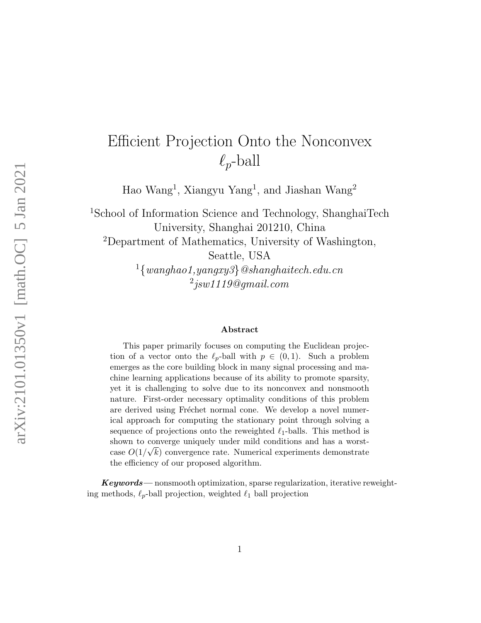# Efficient Projection Onto the Nonconvex  $\ell_p$ -ball

Hao Wang<sup>1</sup>, Xiangyu Yang<sup>1</sup>, and Jiashan Wang<sup>2</sup>

<sup>1</sup>School of Information Science and Technology, ShanghaiTech University, Shanghai 201210, China <sup>2</sup>Department of Mathematics, University of Washington,

Seattle, USA

 $1\{wanghao1, yangxy3\}$ @shanghaitech.edu.cn  $^2$ jsw1119@gmail.com

#### Abstract

This paper primarily focuses on computing the Euclidean projection of a vector onto the  $\ell_p$ -ball with  $p \in (0,1)$ . Such a problem emerges as the core building block in many signal processing and machine learning applications because of its ability to promote sparsity, yet it is challenging to solve due to its nonconvex and nonsmooth nature. First-order necessary optimality conditions of this problem are derived using Fréchet normal cone. We develop a novel numerical approach for computing the stationary point through solving a sequence of projections onto the reweighted  $\ell_1$ -balls. This method is shown to converge uniquely under mild conditions and has a worstcase  $O(1/\sqrt{k})$  convergence rate. Numerical experiments demonstrate the efficiency of our proposed algorithm.

 $Keywords$ — nonsmooth optimization, sparse regularization, iterative reweighting methods,  $\ell_p$ -ball projection, weighted  $\ell_1$  ball projection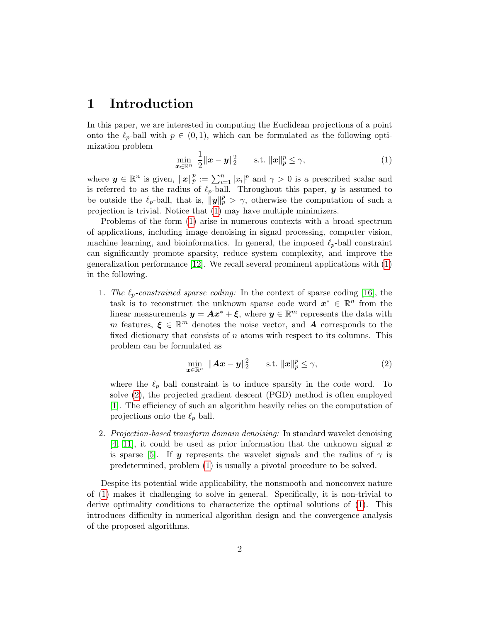# 1 Introduction

In this paper, we are interested in computing the Euclidean projections of a point onto the  $\ell_p$ -ball with  $p \in (0, 1)$ , which can be formulated as the following optimization problem

<span id="page-1-0"></span>
$$
\min_{\boldsymbol{x}\in\mathbb{R}^n} \frac{1}{2} \|\boldsymbol{x}-\boldsymbol{y}\|_2^2 \quad \text{s.t. } \|\boldsymbol{x}\|_p^p \le \gamma,
$$
\n(1)

where  $y \in \mathbb{R}^n$  is given,  $||x||_p^p := \sum_{i=1}^n |x_i|^p$  and  $\gamma > 0$  is a prescribed scalar and is referred to as the radius of  $\ell_p$ -ball. Throughout this paper, y is assumed to be outside the  $\ell_p$ -ball, that is,  $\|\mathbf{y}\|_p^p > \gamma$ , otherwise the computation of such a projection is trivial. Notice that [\(1\)](#page-1-0) may have multiple minimizers.

Problems of the form [\(1\)](#page-1-0) arise in numerous contexts with a broad spectrum of applications, including image denoising in signal processing, computer vision, machine learning, and bioinformatics. In general, the imposed  $\ell_p$ -ball constraint can significantly promote sparsity, reduce system complexity, and improve the generalization performance [\[12\]](#page-32-0). We recall several prominent applications with [\(1\)](#page-1-0) in the following.

1. The  $\ell_p$ -constrained sparse coding: In the context of sparse coding [\[16\]](#page-33-0), the task is to reconstruct the unknown sparse code word  $x^* \in \mathbb{R}^n$  from the linear measurements  $y = Ax^* + \xi$ , where  $y \in \mathbb{R}^m$  represents the data with m features,  $\xi \in \mathbb{R}^m$  denotes the noise vector, and **A** corresponds to the fixed dictionary that consists of  $n$  atoms with respect to its columns. This problem can be formulated as

<span id="page-1-1"></span>
$$
\min_{\boldsymbol{x}\in\mathbb{R}^n} \|\boldsymbol{A}\boldsymbol{x}-\boldsymbol{y}\|_2^2 \qquad \text{s.t. } \|\boldsymbol{x}\|_p^p \leq \gamma,
$$
\n(2)

where the  $\ell_p$  ball constraint is to induce sparsity in the code word. To solve [\(2\)](#page-1-1), the projected gradient descent (PGD) method is often employed [\[1\]](#page-31-0). The efficiency of such an algorithm heavily relies on the computation of projections onto the  $\ell_p$  ball.

2. Projection-based transform domain denoising: In standard wavelet denoising [\[4,](#page-32-1) [11\]](#page-32-2), it could be used as prior information that the unknown signal  $x$ is sparse [\[5\]](#page-32-3). If y represents the wavelet signals and the radius of  $\gamma$  is predetermined, problem [\(1\)](#page-1-0) is usually a pivotal procedure to be solved.

Despite its potential wide applicability, the nonsmooth and nonconvex nature of [\(1\)](#page-1-0) makes it challenging to solve in general. Specifically, it is non-trivial to derive optimality conditions to characterize the optimal solutions of [\(1\)](#page-1-0). This introduces difficulty in numerical algorithm design and the convergence analysis of the proposed algorithms.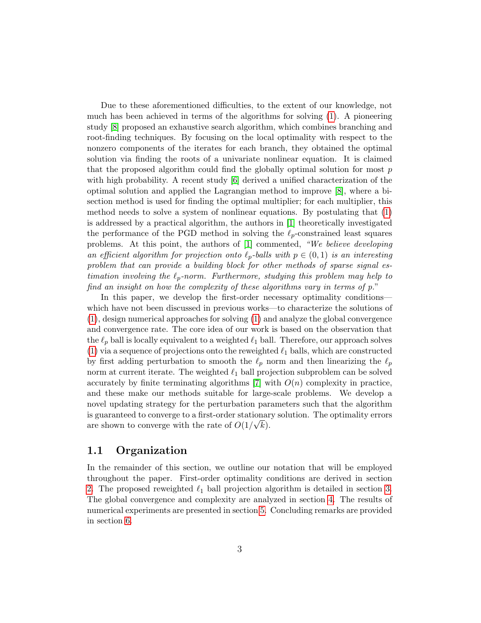Due to these aforementioned difficulties, to the extent of our knowledge, not much has been achieved in terms of the algorithms for solving [\(1\)](#page-1-0). A pioneering study [\[8\]](#page-32-4) proposed an exhaustive search algorithm, which combines branching and root-finding techniques. By focusing on the local optimality with respect to the nonzero components of the iterates for each branch, they obtained the optimal solution via finding the roots of a univariate nonlinear equation. It is claimed that the proposed algorithm could find the globally optimal solution for most  $p$ with high probability. A recent study [\[6\]](#page-32-5) derived a unified characterization of the optimal solution and applied the Lagrangian method to improve [\[8\]](#page-32-4), where a bisection method is used for finding the optimal multiplier; for each multiplier, this method needs to solve a system of nonlinear equations. By postulating that [\(1\)](#page-1-0) is addressed by a practical algorithm, the authors in [\[1\]](#page-31-0) theoretically investigated the performance of the PGD method in solving the  $\ell_p$ -constrained least squares problems. At this point, the authors of [\[1\]](#page-31-0) commented, "We believe developing an efficient algorithm for projection onto  $\ell_p$ -balls with  $p \in (0, 1)$  is an interesting problem that can provide a building block for other methods of sparse signal estimation involving the  $\ell_p$ -norm. Furthermore, studying this problem may help to find an insight on how the complexity of these algorithms vary in terms of p."

In this paper, we develop the first-order necessary optimality conditions which have not been discussed in previous works—to characterize the solutions of [\(1\)](#page-1-0), design numerical approaches for solving [\(1\)](#page-1-0) and analyze the global convergence and convergence rate. The core idea of our work is based on the observation that the  $\ell_p$  ball is locally equivalent to a weighted  $\ell_1$  ball. Therefore, our approach solves [\(1\)](#page-1-0) via a sequence of projections onto the reweighted  $\ell_1$  balls, which are constructed by first adding perturbation to smooth the  $\ell_p$  norm and then linearizing the  $\ell_p$ norm at current iterate. The weighted  $\ell_1$  ball projection subproblem can be solved accurately by finite terminating algorithms [\[7\]](#page-32-6) with  $O(n)$  complexity in practice, and these make our methods suitable for large-scale problems. We develop a novel updating strategy for the perturbation parameters such that the algorithm is guaranteed to converge to a first-order stationary solution. The optimality errors are shown to converge with the rate of  $O(1/\sqrt{k})$ .

#### 1.1 Organization

In the remainder of this section, we outline our notation that will be employed throughout the paper. First-order optimality conditions are derived in section [2.](#page-3-0) The proposed reweighted  $\ell_1$  ball projection algorithm is detailed in section [3.](#page-6-0) The global convergence and complexity are analyzed in section [4.](#page-9-0) The results of numerical experiments are presented in section [5.](#page-20-0) Concluding remarks are provided in section [6.](#page-23-0)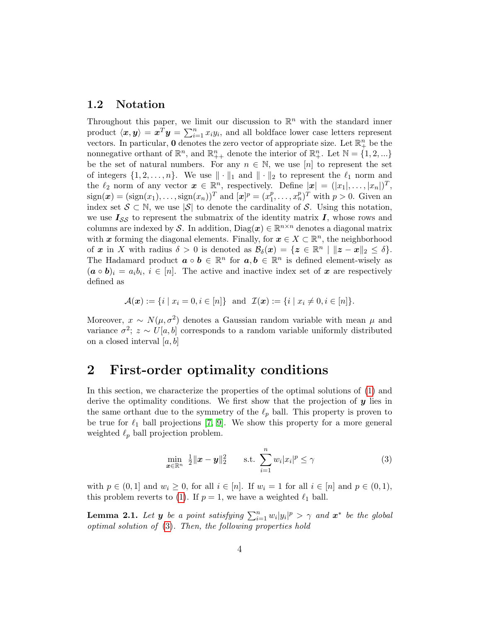#### 1.2 Notation

Throughout this paper, we limit our discussion to  $\mathbb{R}^n$  with the standard inner product  $\langle x, y \rangle = x^T y = \sum_{i=1}^n x_i y_i$ , and all boldface lower case letters represent vectors. In particular, 0 denotes the zero vector of appropriate size. Let  $\mathbb{R}^n_+$  be the nonnegative orthant of  $\mathbb{R}^n$ , and  $\mathbb{R}^n_{++}$  denote the interior of  $\mathbb{R}^n_+$ . Let  $\mathbb{N} = \{1, 2, ...\}$ be the set of natural numbers. For any  $n \in \mathbb{N}$ , we use [n] to represent the set of integers  $\{1, 2, \ldots, n\}$ . We use  $\|\cdot\|_1$  and  $\|\cdot\|_2$  to represent the  $\ell_1$  norm and the  $\ell_2$  norm of any vector  $\boldsymbol{x} \in \mathbb{R}^n$ , respectively. Define  $|\boldsymbol{x}| = (|x_1|, \ldots, |x_n|)^T$ ,  $sign(\boldsymbol{x}) = (sign(x_1), \ldots, sign(x_n))^T$  and  $[\boldsymbol{x}]^p = (x_1^p)$  $(n_1^p, \ldots, n_n^p)^T$  with  $p > 0$ . Given an index set  $S \subset \mathbb{N}$ , we use  $|S|$  to denote the cardinality of S. Using this notation, we use  $I_{SS}$  to represent the submatrix of the identity matrix  $I$ , whose rows and columns are indexed by S. In addition,  $Diag(x) \in \mathbb{R}^{n \times n}$  denotes a diagonal matrix with x forming the diagonal elements. Finally, for  $x \in X \subset \mathbb{R}^n$ , the neighborhood of x in X with radius  $\delta > 0$  is denoted as  $\mathcal{B}_{\delta}(\boldsymbol{x}) = \{ \boldsymbol{z} \in \mathbb{R}^n \mid ||\boldsymbol{z} - \boldsymbol{x}||_2 \leq \delta \}.$ The Hadamard product  $\boldsymbol{a} \circ \boldsymbol{b} \in \mathbb{R}^n$  for  $\boldsymbol{a}, \boldsymbol{b} \in \mathbb{R}^n$  is defined element-wisely as  $(a \circ b)_i = a_i b_i, i \in [n]$ . The active and inactive index set of x are respectively defined as

$$
\mathcal{A}(\bm{x}) := \{ i \mid x_i = 0, i \in [n] \} \text{ and } \mathcal{I}(\bm{x}) := \{ i \mid x_i \neq 0, i \in [n] \}.
$$

Moreover,  $x \sim N(\mu, \sigma^2)$  denotes a Gaussian random variable with mean  $\mu$  and variance  $\sigma^2$ ;  $z \sim U[a, b]$  corresponds to a random variable uniformly distributed on a closed interval  $[a, b]$ 

# <span id="page-3-0"></span>2 First-order optimality conditions

In this section, we characterize the properties of the optimal solutions of [\(1\)](#page-1-0) and derive the optimality conditions. We first show that the projection of  $y$  lies in the same orthant due to the symmetry of the  $\ell_p$  ball. This property is proven to be true for  $\ell_1$  ball projections [\[7,](#page-32-6) [9\]](#page-32-7). We show this property for a more general weighted  $\ell_p$  ball projection problem.

<span id="page-3-1"></span>
$$
\min_{\boldsymbol{x}\in\mathbb{R}^n} \quad \frac{1}{2} \|\boldsymbol{x}-\boldsymbol{y}\|_2^2 \qquad \text{s.t.} \quad \sum_{i=1}^n w_i |x_i|^p \leq \gamma \tag{3}
$$

with  $p \in (0,1]$  and  $w_i \geq 0$ , for all  $i \in [n]$ . If  $w_i = 1$  for all  $i \in [n]$  and  $p \in (0,1)$ , this problem reverts to [\(1\)](#page-1-0). If  $p = 1$ , we have a weighted  $\ell_1$  ball.

<span id="page-3-2"></span>**Lemma 2.1.** Let **y** be a point satisfying  $\sum_{i=1}^{n} w_i |y_i|^p > \gamma$  and  $\boldsymbol{x}^*$  be the global optimal solution of [\(3\)](#page-3-1). Then, the following properties hold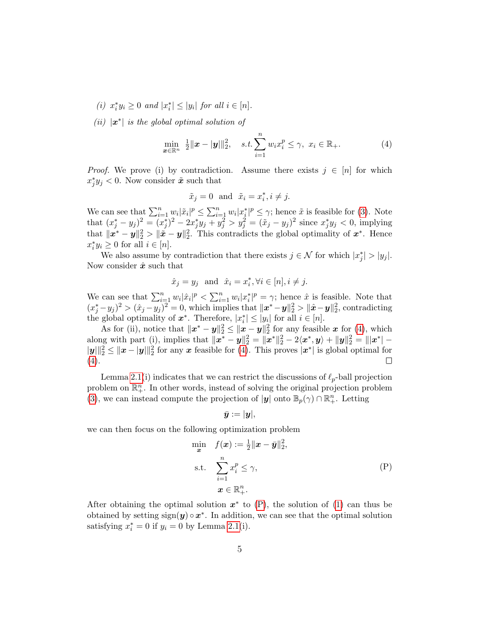- (i)  $x_i^* y_i \geq 0$  and  $|x_i^*| \leq |y_i|$  for all  $i \in [n]$ .
- (ii)  $|x^*|$  is the global optimal solution of

<span id="page-4-0"></span>
$$
\min_{\boldsymbol{x}\in\mathbb{R}^n} \ \frac{1}{2} \|\boldsymbol{x} - \|\boldsymbol{y}\|\|_2^2, \quad s.t. \sum_{i=1}^n w_i x_i^p \leq \gamma, \ x_i \in \mathbb{R}_+.
$$
 (4)

*Proof.* We prove (i) by contradiction. Assume there exists  $j \in [n]$  for which  $x_j^* y_j < 0$ . Now consider  $\tilde{x}$  such that

$$
\tilde{x}_j = 0 \text{ and } \tilde{x}_i = x_i^*, i \neq j.
$$

We can see that  $\sum_{i=1}^n w_i |\tilde{x}_i|^p \leq \sum_{i=1}^n w_i |x_i^*|^p \leq \gamma$ ; hence  $\tilde{x}$  is feasible for [\(3\)](#page-3-1). Note that  $(x_j^* - y_j)^2 = (x_j^*)^2 - 2x_j^*y_j + y_j^2 > y_j^2 = (\tilde{x}_j - y_j)^2$  since  $x_j^*y_j < 0$ , implying that  $\|\mathbf{x}^* - \mathbf{y}\|_2^2 > \|\tilde{\mathbf{x}} - \mathbf{y}\|_2^2$ . This contradicts the global optimality of  $\mathbf{x}^*$ . Hence  $x_i^* y_i \geq 0$  for all  $i \in [n]$ .

We also assume by contradiction that there exists  $j \in \mathcal{N}$  for which  $|x_j^*| > |y_j|$ . Now consider  $\hat{x}$  such that

$$
\hat{x}_j = y_j
$$
 and  $\hat{x}_i = x_i^*, \forall i \in [n], i \neq j.$ 

We can see that  $\sum_{i=1}^n w_i |\hat{x}_i|^p < \sum_{i=1}^n w_i |x_i^*|^p = \gamma$ ; hence  $\hat{x}$  is feasible. Note that  $(x_j^* - y_j)^2 > (\hat{x}_j - y_j)^2 = 0$ , which implies that  $\|\mathbf{x}^* - \mathbf{y}\|_2^2 > \|\hat{\mathbf{x}} - \mathbf{y}\|_2^2$ , contradicting the global optimality of  $x^*$ . Therefore,  $|x_i^*| \le |y_i|$  for all  $i \in [n]$ .

As for (ii), notice that  $\|\mathbf{x}^* - \mathbf{y}\|_2^2 \le \|\mathbf{x} - \mathbf{y}\|_2^2$  for any feasible  $\mathbf{x}$  for [\(4\)](#page-4-0), which along with part (i), implies that  $||x^* - y||_2^2 = ||x^*||_2^2 - 2\langle x^*, y \rangle + ||y||_2^2 = |||x^*| ||y||_2^2 \le ||x - y||_2^2$  for any x feasible for [\(4\)](#page-4-0). This proves  $|x^*|$  is global optimal for  $(4).$  $(4).$  $\Box$ 

Lemma [2.1\(](#page-3-2)i) indicates that we can restrict the discussions of  $\ell_p$ -ball projection problem on  $\mathbb{R}^n_+$ . In other words, instead of solving the original projection problem [\(3\)](#page-3-1), we can instead compute the projection of  $|y|$  onto  $\mathbb{B}_p(\gamma) \cap \mathbb{R}^n_+$ . Letting

<span id="page-4-1"></span>
$$
\bar{\boldsymbol{y}}:=|\boldsymbol{y}|,
$$

we can then focus on the following optimization problem

$$
\min_{\mathbf{x}} \quad f(\mathbf{x}) := \frac{1}{2} ||\mathbf{x} - \bar{\mathbf{y}}||_2^2,
$$
\n
$$
\text{s.t.} \quad \sum_{i=1}^n x_i^p \le \gamma,
$$
\n
$$
\mathbf{x} \in \mathbb{R}_+^n.
$$
\n
$$
(P)
$$

After obtaining the optimal solution  $x^*$  to  $(P)$ , the solution of  $(1)$  can thus be obtained by setting  $sign(y) \circ x^*$ . In addition, we can see that the optimal solution satisfying  $x_i^* = 0$  if  $y_i = 0$  by Lemma [2.1\(](#page-3-2)i).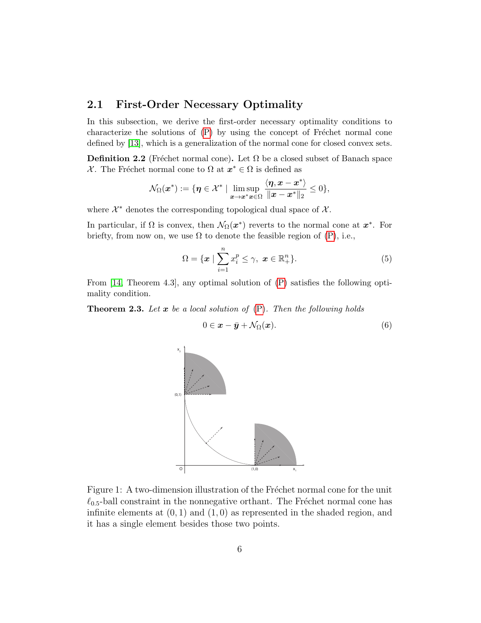#### 2.1 First-Order Necessary Optimality

In this subsection, we derive the first-order necessary optimality conditions to characterize the solutions of  $(P)$  by using the concept of Fréchet normal cone defined by [\[13\]](#page-32-8), which is a generalization of the normal cone for closed convex sets.

**Definition 2.2** (Fréchet normal cone). Let  $\Omega$  be a closed subset of Banach space X. The Fréchet normal cone to  $\Omega$  at  $x^* \in \Omega$  is defined as

$$
\mathcal{N}_{\Omega}(\boldsymbol{x}^*) := \{\boldsymbol{\eta} \in \mathcal{X}^* \; | \; \limsup_{\boldsymbol{x} \to \boldsymbol{x}^* \boldsymbol{x} \in \Omega} \frac{\langle \boldsymbol{\eta}, \boldsymbol{x} - \boldsymbol{x}^* \rangle}{\|\boldsymbol{x} - \boldsymbol{x}^*\|_2} \leq 0 \},
$$

where  $\mathcal{X}^*$  denotes the corresponding topological dual space of  $\mathcal{X}$ .

In particular, if  $\Omega$  is convex, then  $\mathcal{N}_{\Omega}(\boldsymbol{x}^*)$  reverts to the normal cone at  $\boldsymbol{x}^*$ . For briefty, from now on, we use  $\Omega$  to denote the feasible region of [\(P\)](#page-4-1), i.e.,

$$
\Omega = \{ \boldsymbol{x} \mid \sum_{i=1}^{n} x_i^p \le \gamma, \ \boldsymbol{x} \in \mathbb{R}_+^n \}. \tag{5}
$$

From [\[14,](#page-33-1) Theorem 4.3], any optimal solution of [\(P\)](#page-4-1) satisfies the following optimality condition.

<span id="page-5-2"></span>**Theorem 2.3.** Let x be a local solution of  $(P)$ . Then the following holds

<span id="page-5-0"></span>
$$
0 \in \mathbf{x} - \bar{\mathbf{y}} + \mathcal{N}_{\Omega}(\mathbf{x}). \tag{6}
$$



<span id="page-5-1"></span>Figure 1: A two-dimension illustration of the Fréchet normal cone for the unit  $\ell_{0.5}$ -ball constraint in the nonnegative orthant. The Fréchet normal cone has infinite elements at  $(0, 1)$  and  $(1, 0)$  as represented in the shaded region, and it has a single element besides those two points.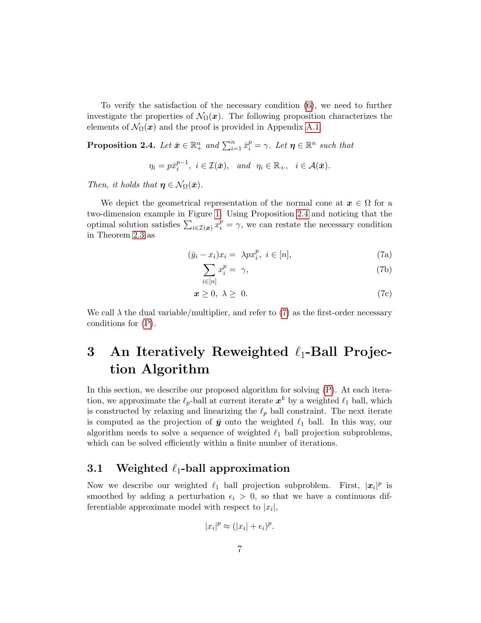To verify the satisfaction of the necessary condition [\(6\)](#page-5-0), we need to further investigate the properties of  $\mathcal{N}_{\Omega}(x)$ . The following proposition characterizes the elements of  $\mathcal{N}_{\Omega}(\boldsymbol{x})$  and the proof is provided in Appendix [A.1.](#page-24-0)

<span id="page-6-1"></span>**Proposition 2.4.** Let  $\bar{x} \in \mathbb{R}^n_+$  and  $\sum_{i=1}^n \bar{x}_i^p = \gamma$ . Let  $\eta \in \mathbb{R}^n$  such that

$$
\eta_i = p\bar{x}_i^{p-1}, i \in \mathcal{I}(\bar{x}), \text{ and } \eta_i \in \mathbb{R}_+, i \in \mathcal{A}(\bar{x}).
$$

Then, it holds that  $\eta \in \mathcal{N}_{\Omega}(\bar{x})$ .

We depict the geometrical representation of the normal cone at  $x \in \Omega$  for a two-dimension example in Figure [1.](#page-5-1) Using Proposition [2.4](#page-6-1) and noticing that the optimal solution satisfies  $\sum_{i \in I(x)} x_i^p = \gamma$ , we can restate the necessary condition in Theorem [2.3](#page-5-2) as

<span id="page-6-2"></span>
$$
(\bar{y}_i - x_i)x_i = \lambda px_i^p, \ i \in [n], \tag{7a}
$$

<span id="page-6-3"></span>
$$
\sum_{i \in [n]} x_i^p = \gamma,\tag{7b}
$$

$$
x \geq 0, \lambda \geq 0. \tag{7c}
$$

We call  $\lambda$  the dual variable/multiplier, and refer to [\(7\)](#page-6-2) as the first-order necessary conditions for [\(P\)](#page-4-1).

# <span id="page-6-0"></span>3 An Iteratively Reweighted  $\ell_1$ -Ball Projection Algorithm

In this section, we describe our proposed algorithm for solving [\(P\)](#page-4-1). At each iteration, we approximate the  $\ell_p$ -ball at current iterate  $x^k$  by a weighted  $\ell_1$  ball, which is constructed by relaxing and linearizing the  $\ell_p$  ball constraint. The next iterate is computed as the projection of  $\bar{y}$  onto the weighted  $\ell_1$  ball. In this way, our algorithm needs to solve a sequence of weighted  $\ell_1$  ball projection subproblems, which can be solved efficiently within a finite number of iterations.

# 3.1 Weighted  $\ell_1$ -ball approximation

Now we describe our weighted  $\ell_1$  ball projection subproblem. First,  $|x_i|^p$  is smoothed by adding a perturbation  $\epsilon_i > 0$ , so that we have a continuous differentiable approximate model with respect to  $|x_i|$ ,

$$
|x_i|^p \approx (|x_i| + \epsilon_i)^p.
$$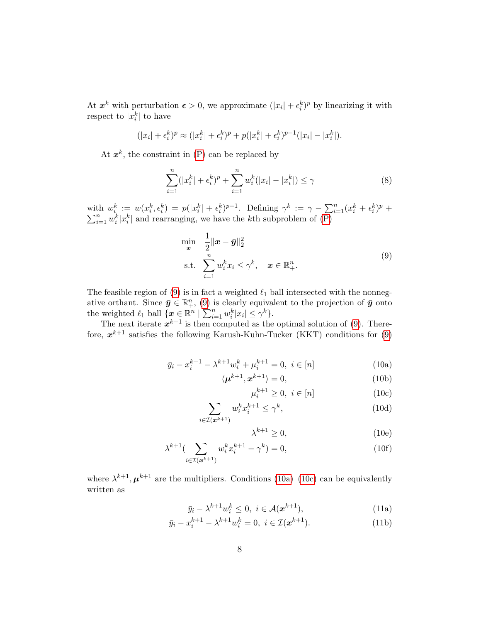At  $x^k$  with perturbation  $\epsilon > 0$ , we approximate  $(|x_i| + \epsilon_i^k)^p$  by linearizing it with respect to  $|x_i^k|$  to have

$$
(|x_i| + \epsilon_i^k)^p \approx (|x_i^k| + \epsilon_i^k)^p + p(|x_i^k| + \epsilon_i^k)^{p-1}(|x_i| - |x_i^k|).
$$

At  $x^k$ , the constraint in  $(P)$  can be replaced by

$$
\sum_{i=1}^{n} (|x_i^k| + \epsilon_i^k)^p + \sum_{i=1}^{n} w_i^k (|x_i| - |x_i^k|) \le \gamma
$$
\n(8)

with  $w_i^k := w(x_i^k, \epsilon_i^k) = p(|x_i^k| + \epsilon_i^k)^{p-1}$ . Defining  $\gamma^k := \gamma - \sum_{i=1}^n (x_i^k + \epsilon_i^k)$  $\sum$ th  $w_i^k := w(x_i^k, \epsilon_i^k) = p(|x_i^k| + \epsilon_i^k)^{p-1}$ . Defining  $\gamma^k := \gamma - \sum_{i=1}^n (x_i^k + \epsilon_i^k)^p + \sum_{i=1}^n w_i^k |x_i^k|$  and rearranging, we have the *k*th subproblem of [\(P\)](#page-4-1)

<span id="page-7-0"></span>
$$
\min_{\mathbf{x}} \quad \frac{1}{2} \|\mathbf{x} - \bar{\mathbf{y}}\|_2^2
$$
\n
$$
\text{s.t.} \quad \sum_{i=1}^n w_i^k x_i \le \gamma^k, \quad \mathbf{x} \in \mathbb{R}_+^n. \tag{9}
$$

The feasible region of [\(9\)](#page-7-0) is in fact a weighted  $\ell_1$  ball intersected with the nonnegative orthant. Since  $\bar{y} \in \mathbb{R}^n_+$ , [\(9\)](#page-7-0) is clearly equivalent to the projection of  $\bar{y}$  onto the weighted  $\ell_1$  ball  $\{x \in \mathbb{R}^n \mid \sum_{i=1}^n w_i^k |x_i| \leq \gamma^k\}.$ 

The next iterate  $x^{k+1}$  is then computed as the optimal solution of [\(9\)](#page-7-0). Therefore,  $x^{k+1}$  satisfies the following Karush-Kuhn-Tucker (KKT) conditions for [\(9\)](#page-7-0)

$$
\bar{y}_i - x_i^{k+1} - \lambda^{k+1} w_i^k + \mu_i^{k+1} = 0, \ i \in [n]
$$
\n(10a)

$$
\langle \mu^{k+1}, \mathbf{x}^{k+1} \rangle = 0,\tag{10b}
$$

<span id="page-7-2"></span><span id="page-7-1"></span>
$$
\mu_i^{k+1} \ge 0, \ i \in [n] \tag{10c}
$$

$$
\sum_{i \in \mathcal{I}(\boldsymbol{x}^{k+1})} w_i^k x_i^{k+1} \le \gamma^k,\tag{10d}
$$

<span id="page-7-4"></span><span id="page-7-3"></span> $\lambda^{k+1} \geq 0,$ (10e)

$$
\lambda^{k+1} (\sum_{i \in \mathcal{I}(\mathbf{x}^{k+1})} w_i^k x_i^{k+1} - \gamma^k) = 0,
$$
\n(10f)

<span id="page-7-5"></span>where  $\lambda^{k+1}, \mu^{k+1}$  are the multipliers. Conditions [\(10a\)](#page-7-1)–[\(10c\)](#page-7-2) can be equivalently written as

$$
\bar{y}_i - \lambda^{k+1} w_i^k \le 0, \ i \in \mathcal{A}(\mathbf{x}^{k+1}), \tag{11a}
$$

$$
\bar{y}_i - x_i^{k+1} - \lambda^{k+1} w_i^k = 0, \ i \in \mathcal{I}(\mathbf{x}^{k+1}). \tag{11b}
$$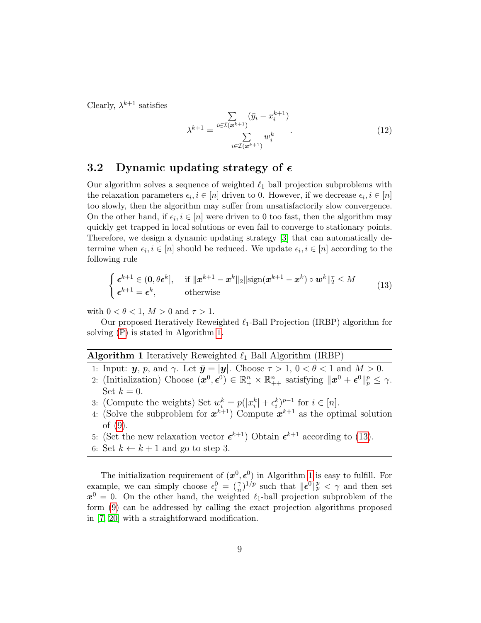Clearly,  $\lambda^{k+1}$  satisfies

<span id="page-8-2"></span>
$$
\lambda^{k+1} = \frac{\sum\limits_{i \in \mathcal{I}(\bm{x}^{k+1})} (\bar{y}_i - x_i^{k+1})}{\sum\limits_{i \in \mathcal{I}(\bm{x}^{k+1})} w_i^k}.
$$
(12)

#### 3.2 Dynamic updating strategy of  $\epsilon$

Our algorithm solves a sequence of weighted  $\ell_1$  ball projection subproblems with the relaxation parameters  $\epsilon_i, i \in [n]$  driven to 0. However, if we decrease  $\epsilon_i, i \in [n]$ too slowly, then the algorithm may suffer from unsatisfactorily slow convergence. On the other hand, if  $\epsilon_i, i \in [n]$  were driven to 0 too fast, then the algorithm may quickly get trapped in local solutions or even fail to converge to stationary points. Therefore, we design a dynamic updating strategy [\[3\]](#page-32-9) that can automatically determine when  $\epsilon_i, i \in [n]$  should be reduced. We update  $\epsilon_i, i \in [n]$  according to the following rule

<span id="page-8-1"></span>
$$
\begin{cases} \epsilon^{k+1} \in (0, \theta \epsilon^k], & \text{if } \|x^{k+1} - x^k\|_2 \|\text{sign}(x^{k+1} - x^k) \circ w^k\|_2^{\tau} \le M \\ \epsilon^{k+1} = \epsilon^k, & \text{otherwise} \end{cases}
$$
(13)

with  $0 < \theta < 1$ ,  $M > 0$  and  $\tau > 1$ .

Our proposed Iteratively Reweighted  $\ell_1$ -Ball Projection (IRBP) algorithm for solving [\(P\)](#page-4-1) is stated in Algorithm [1.](#page-8-0)

#### <span id="page-8-0"></span>**Algorithm 1** Iteratively Reweighted  $\ell_1$  Ball Algorithm (IRBP)

- 1: Input:  $y, p$ , and  $\gamma$ . Let  $\bar{y} = |y|$ . Choose  $\tau > 1, 0 < \theta < 1$  and  $M > 0$ .
- 2: (Initialization) Choose  $(\boldsymbol{x}^0, \boldsymbol{\epsilon}^0) \in \mathbb{R}_+^n \times \mathbb{R}_{++}^n$  satisfying  $\|\boldsymbol{x}^0 + \boldsymbol{\epsilon}^0\|_p^p \leq \gamma$ . Set  $k = 0$ .
- 3: (Compute the weights) Set  $w_i^k = p(|x_i^k| + \epsilon_i^k)^{p-1}$  for  $i \in [n]$ .
- 4: (Solve the subproblem for  $x^{k+1}$ ) Compute  $x^{k+1}$  as the optimal solution of [\(9\)](#page-7-0).
- 5: (Set the new relaxation vector  $\epsilon^{k+1}$ ) Obtain  $\epsilon^{k+1}$  according to [\(13\)](#page-8-1).
- 6: Set  $k \leftarrow k + 1$  and go to step 3.

The initialization requirement of  $(x^0, \epsilon^0)$  in Algorithm [1](#page-8-0) is easy to fulfill. For example, we can simply choose  $\epsilon_i^0 = (\frac{\gamma}{n})^{1/p}$  such that  $\|\epsilon^0\|_p^p < \gamma$  and then set  $x^0 = 0$ . On the other hand, the weighted  $\ell_1$ -ball projection subproblem of the form [\(9\)](#page-7-0) can be addressed by calling the exact projection algorithms proposed in [\[7,](#page-32-6) [20\]](#page-33-2) with a straightforward modification.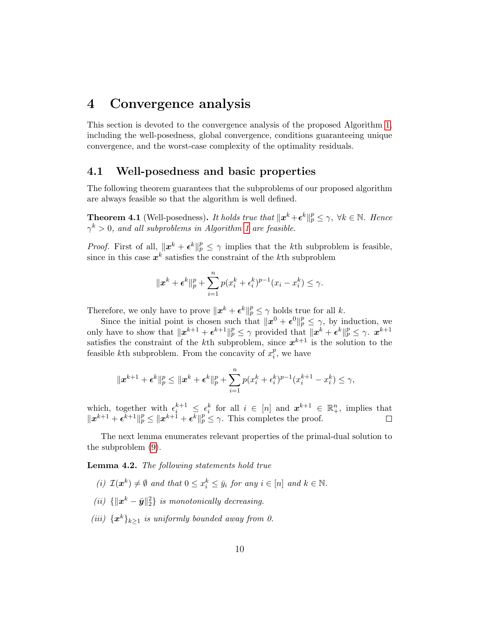# <span id="page-9-0"></span>4 Convergence analysis

This section is devoted to the convergence analysis of the proposed Algorithm [1,](#page-8-0) including the well-posedness, global convergence, conditions guaranteeing unique convergence, and the worst-case complexity of the optimality residuals.

#### 4.1 Well-posedness and basic properties

The following theorem guarantees that the subproblems of our proposed algorithm are always feasible so that the algorithm is well defined.

<span id="page-9-2"></span>**Theorem 4.1** (Well-posedness). It holds true that  $\|\mathbf{x}^k+\boldsymbol{\epsilon}^k\|_p^p \leq \gamma$ ,  $\forall k \in \mathbb{N}$ . Hence  $\gamma^k > 0$ , and all subproblems in Algorithm [1](#page-8-0) are feasible.

*Proof.* First of all,  $||x^k + \epsilon^k||_p^p \leq \gamma$  implies that the kth subproblem is feasible, since in this case  $x^k$  satisfies the constraint of the k<sup>th</sup> subproblem

$$
\|x^{k} + \epsilon^{k}\|_{p}^{p} + \sum_{i=1}^{n} p(x_{i}^{k} + \epsilon_{i}^{k})^{p-1}(x_{i} - x_{i}^{k}) \leq \gamma.
$$

Therefore, we only have to prove  $\|\boldsymbol{x}^k + \boldsymbol{\epsilon}^k\|_p^p \leq \gamma$  holds true for all k.

Since the initial point is chosen such that  $||x^0 + \epsilon^0||_p^p \leq \gamma$ , by induction, we only have to show that  $||x^{k+1} + \epsilon^{k+1}||_p^p \leq \gamma$  provided that  $||x^k + \epsilon^k||_p^p \leq \gamma$ .  $x^{k+1}$ satisfies the constraint of the k<sup>th</sup> subproblem, since  $x^{k+1}$  is the solution to the feasible kth subproblem. From the concavity of  $x_i^p$  $i<sub>i</sub>$ , we have

$$
\|x^{k+1} + \epsilon^k\|_p^p \le \|x^k + \epsilon^k\|_p^p + \sum_{i=1}^n p(x_i^k + \epsilon_i^k)^{p-1} (x_i^{k+1} - x_i^k) \le \gamma,
$$

which, together with  $\epsilon_i^{k+1} \leq \epsilon_i^k$  for all  $i \in [n]$  and  $\mathbf{x}^{k+1} \in \mathbb{R}_+^n$ , implies that  $||x^{k+1} + \epsilon^{\bar{k}+1}||_p^p \le ||x^{k+\bar{1}} + \epsilon^k||_p^p \le \gamma$ . This completes the proof.

The next lemma enumerates relevant properties of the primal-dual solution to the subproblem [\(9\)](#page-7-0).

<span id="page-9-1"></span>Lemma 4.2. The following statements hold true

- (i)  $\mathcal{I}(\boldsymbol{x}^k) \neq \emptyset$  and that  $0 \leq x_i^k \leq \bar{y}_i$  for any  $i \in [n]$  and  $k \in \mathbb{N}$ .
- (ii)  $\{\|\boldsymbol{x}^k \bar{\boldsymbol{y}}\|^2_2\}$  is monotonically decreasing.
- (iii)  $\{\boldsymbol{x}^k\}_{k\geq 1}$  is uniformly bounded away from 0.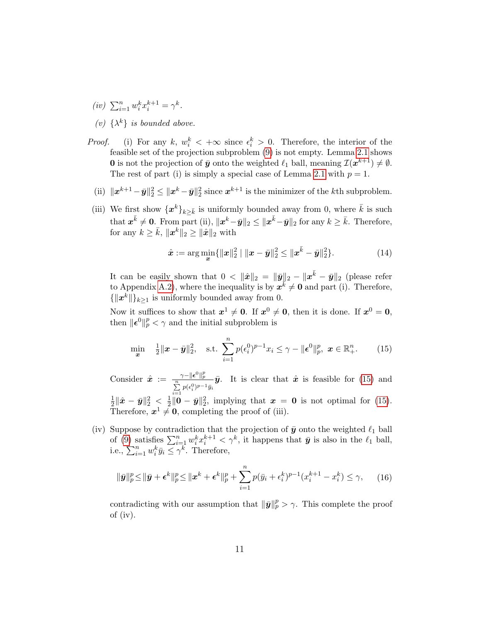- $(iv) \sum_{i=1}^{n} w_i^k x_i^{k+1} = \gamma^k.$
- (v)  $\{\lambda^k\}$  is bounded above.
- *Proof.* (i) For any k,  $w_i^k$  <  $+\infty$  since  $\epsilon_i^k > 0$ . Therefore, the interior of the feasible set of the projection subproblem [\(9\)](#page-7-0) is not empty. Lemma [2.1](#page-3-2) shows **0** is not the projection of  $\bar{y}$  onto the weighted  $\ell_1$  ball, meaning  $\mathcal{I}(x^{k+1}) \neq \emptyset$ . The rest of part (i) is simply a special case of Lemma [2.1](#page-3-2) with  $p = 1$ .
	- (ii)  $\|\boldsymbol{x}^{k+1} \bar{\boldsymbol{y}}\|_2^2 \le \|\boldsymbol{x}^k \bar{\boldsymbol{y}}\|_2^2$  since  $\boldsymbol{x}^{k+1}$  is the minimizer of the *k*th subproblem.
- (iii) We first show  $\{x^k\}_{k\geq \bar{k}}$  is uniformly bounded away from 0, where  $\bar{k}$  is such that  $\boldsymbol{x}^{\bar{k}} \neq \boldsymbol{0}$ . From part (ii),  $\|\boldsymbol{x}^{k}-\bar{\boldsymbol{y}}\|_2 \leq \|\boldsymbol{x}^{\bar{k}}-\bar{\boldsymbol{y}}\|_2$  for any  $k \geq \bar{k}$ . Therefore, for any  $k \geq \bar{k}$ ,  $||\boldsymbol{x}^k||_2 \geq ||\hat{\boldsymbol{x}}||_2$  with

<span id="page-10-1"></span>
$$
\hat{\boldsymbol{x}} := \arg\min_{\boldsymbol{x}} \{ ||\boldsymbol{x}||_2^2 \mid ||\boldsymbol{x} - \bar{\boldsymbol{y}}||_2^2 \le ||\boldsymbol{x}^{\bar{k}} - \bar{\boldsymbol{y}}||_2^2 \}.
$$
 (14)

It can be easily shown that  $0 < \|\hat{x}\|_2 = \|\bar{y}\|_2 - \|x^{\bar{k}} - \bar{y}\|_2$  (please refer to Appendix [A.2\)](#page-25-0), where the inequality is by  $x^k \neq 0$  and part (i). Therefore,  $\{\Vert x^k \Vert\}_{k\geq 1}$  is uniformly bounded away from 0.

Now it suffices to show that  $x^1 \neq 0$ . If  $x^0 \neq 0$ , then it is done. If  $x^0 = 0$ , then  $\|\boldsymbol{\epsilon}^0\|_p^p < \gamma$  and the initial subproblem is

<span id="page-10-0"></span>
$$
\min_{\bm{x}} \quad \frac{1}{2} \|\bm{x} - \bar{\bm{y}}\|_2^2, \quad \text{s.t.} \quad \sum_{i=1}^n p(\epsilon_i^0)^{p-1} x_i \le \gamma - \|\bm{\epsilon}^0\|_p^p, \ \bm{x} \in \mathbb{R}_+^n. \tag{15}
$$

Consider  $\hat{\boldsymbol{x}}\ :=\ \frac{\gamma-\|\boldsymbol{\epsilon}^{0}\|_p^p}{\sum\limits_{i=1}^n p(\epsilon^0_i)^{p-1}\bar{y}_i}$  $\bar{y}$ . It is clear that  $\hat{x}$  is feasible for [\(15\)](#page-10-0) and 1  $\frac{1}{2}\|\hat{\bm{x}}-\bar{\bm{y}}\|_2^2\ <\ \frac{1}{2}$  $\frac{1}{2}$ ||0 –  $\bar{y}$ || $\frac{2}{2}$ , implying that  $x = 0$  is not optimal for [\(15\)](#page-10-0). Therefore,  $x^1 \neq 0$ , completing the proof of (iii).

(iv) Suppose by contradiction that the projection of  $\bar{y}$  onto the weighted  $\ell_1$  ball of [\(9\)](#page-7-0) satisfies  $\sum_{i=1}^n w_i^k x_i^{k+1} < \gamma^k$ , it happens that  $\bar{y}$  is also in the  $\ell_1$  ball, i.e.,  $\sum_{i=1}^n w_i^k \bar{y}_i \leq \gamma^k$ . Therefore,

$$
\|\bar{\mathbf{y}}\|_{p}^{p} \leq \|\bar{\mathbf{y}} + \epsilon^{k}\|_{p}^{p} \leq \|\mathbf{x}^{k} + \epsilon^{k}\|_{p}^{p} + \sum_{i=1}^{n} p(\bar{y}_{i} + \epsilon_{i}^{k})^{p-1} (x_{i}^{k+1} - x_{i}^{k}) \leq \gamma, \qquad (16)
$$

contradicting with our assumption that  $\|\bar{\pmb{y}}\|_p^p > \gamma$ . This complete the proof of (iv).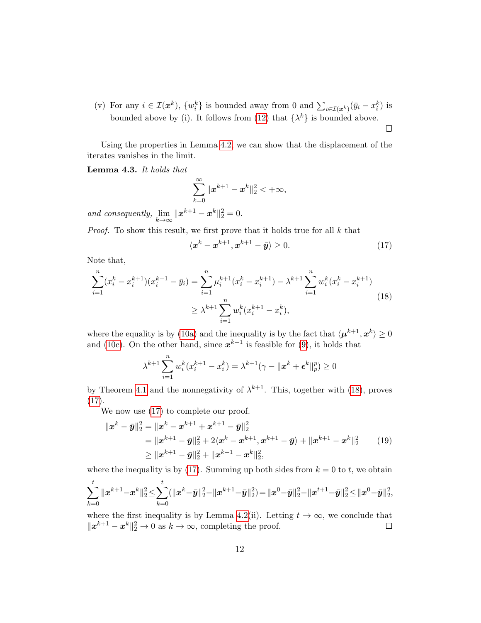(v) For any  $i \in \mathcal{I}(\boldsymbol{x}^k)$ ,  $\{w_i^k\}$  is bounded away from 0 and  $\sum_{i \in \mathcal{I}(\boldsymbol{x}^k)} (\bar{y}_i - x_i^k)$  is bounded above by (i). It follows from [\(12\)](#page-8-2) that  $\{\lambda^k\}$  is bounded above.  $\Box$ 

Using the properties in Lemma [4.2,](#page-9-1) we can show that the displacement of the iterates vanishes in the limit.

<span id="page-11-2"></span>Lemma 4.3. It holds that

$$
\sum_{k=0}^{\infty} \|x^{k+1}-x^k\|_2^2 < +\infty,
$$

and consequently,  $\lim_{k \to \infty} ||x^{k+1} - x^k||_2^2 = 0.$ 

Proof. To show this result, we first prove that it holds true for all k that

<span id="page-11-1"></span>
$$
\langle \mathbf{x}^k - \mathbf{x}^{k+1}, \mathbf{x}^{k+1} - \bar{\mathbf{y}} \rangle \ge 0. \tag{17}
$$

Note that,

<span id="page-11-0"></span>
$$
\sum_{i=1}^{n} (x_i^k - x_i^{k+1})(x_i^{k+1} - \bar{y}_i) = \sum_{i=1}^{n} \mu_i^{k+1}(x_i^k - x_i^{k+1}) - \lambda^{k+1} \sum_{i=1}^{n} w_i^k (x_i^k - x_i^{k+1})
$$
  

$$
\geq \lambda^{k+1} \sum_{i=1}^{n} w_i^k (x_i^{k+1} - x_i^k),
$$
 (18)

where the equality is by [\(10a\)](#page-7-1) and the inequality is by the fact that  $\langle \mu^{k+1}, x^k \rangle \ge 0$ and [\(10c\)](#page-7-2). On the other hand, since  $x^{k+1}$  is feasible for [\(9\)](#page-7-0), it holds that

$$
\lambda^{k+1} \sum_{i=1}^{n} w_i^k (x_i^{k+1} - x_i^k) = \lambda^{k+1} (\gamma - ||x^k + \epsilon^k||_p^p) \ge 0
$$

by Theorem [4.1](#page-9-2) and the nonnegativity of  $\lambda^{k+1}$ . This, together with [\(18\)](#page-11-0), proves [\(17\)](#page-11-1).

We now use  $(17)$  to complete our proof.

<span id="page-11-3"></span>
$$
\|x^{k} - \bar{y}\|_{2}^{2} = \|x^{k} - x^{k+1} + x^{k+1} - \bar{y}\|_{2}^{2}
$$
  
\n
$$
= \|x^{k+1} - \bar{y}\|_{2}^{2} + 2\langle x^{k} - x^{k+1}, x^{k+1} - \bar{y}\rangle + \|x^{k+1} - x^{k}\|_{2}^{2}
$$
  
\n
$$
\geq \|x^{k+1} - \bar{y}\|_{2}^{2} + \|x^{k+1} - x^{k}\|_{2}^{2},
$$
\n(19)

where the inequality is by [\(17\)](#page-11-1). Summing up both sides from  $k = 0$  to t, we obtain  $\sum$ t  $_{k=0}$  $\|\boldsymbol{x}^{k+1}\!-\!\boldsymbol{x}^{k}\|_2^2\!\leq\!\sum$ t  $_{k=0}$  $(\|\boldsymbol{x}^{k}\!-\!\bar{\boldsymbol{y}}\|_2^2\!-\!\|\boldsymbol{x}^{k+1}\!-\!\bar{\boldsymbol{y}}\|_2^2)\!=\!\|\boldsymbol{x}^{0}\!-\!\bar{\boldsymbol{y}}\|_2^2\!-\!\|\boldsymbol{x}^{t+1}\!-\!\bar{\boldsymbol{y}}\|_2^2\!\leq\!\|\boldsymbol{x}^{0}\!-\!\bar{\boldsymbol{y}}\|_2^2,$ 

where the first inequality is by Lemma [4.2\(](#page-9-1)ii). Letting  $t \to \infty$ , we conclude that  $||\boldsymbol{x}^{k+1} - \boldsymbol{x}^{k}||_2^2 \to 0$  as  $k \to \infty$ , completing the proof.  $\Box$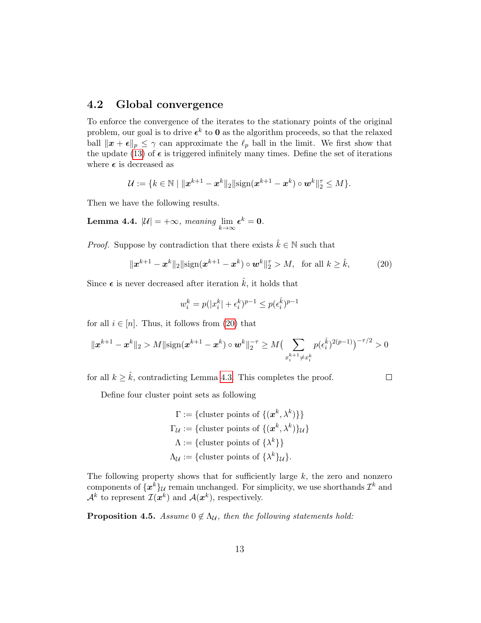#### 4.2 Global convergence

To enforce the convergence of the iterates to the stationary points of the original problem, our goal is to drive  $\epsilon^k$  to **0** as the algorithm proceeds, so that the relaxed ball  $\|\boldsymbol{x} + \boldsymbol{\epsilon}\|_p \leq \gamma$  can approximate the  $\ell_p$  ball in the limit. We first show that the update [\(13\)](#page-8-1) of  $\epsilon$  is triggered infinitely many times. Define the set of iterations where  $\epsilon$  is decreased as

$$
\mathcal{U} := \{ k \in \mathbb{N} \mid ||\mathbf{x}^{k+1} - \mathbf{x}^k||_2 || \text{sign}(\mathbf{x}^{k+1} - \mathbf{x}^k) \circ \mathbf{w}^k||_2^{\tau} \le M \}.
$$

<span id="page-12-1"></span>Then we have the following results.

**Lemma 4.4.**  $|\mathcal{U}| = +\infty$ , meaning  $\lim_{k \to \infty} \epsilon^k = 0$ .

*Proof.* Suppose by contradiction that there exists  $\hat{k} \in \mathbb{N}$  such that

<span id="page-12-0"></span>
$$
\|\bm{x}^{k+1} - \bm{x}^{k}\|_{2} \|\text{sign}(\bm{x}^{k+1} - \bm{x}^{k}) \circ \bm{w}^{k}\|_{2}^{7} > M, \text{ for all } k \geq \hat{k}, \tag{20}
$$

Since  $\epsilon$  is never decreased after iteration  $\hat{k}$ , it holds that

$$
w_i^k = p(|x_i^k| + \epsilon_i^k)^{p-1} \le p(\epsilon_i^{\hat{k}})^{p-1}
$$

for all  $i \in [n]$ . Thus, it follows from [\(20\)](#page-12-0) that

$$
\|\boldsymbol{x}^{k+1}-\boldsymbol{x}^{k}\|_{2} > M \|\text{sign}(\boldsymbol{x}^{k+1}-\boldsymbol{x}^{k}) \circ \boldsymbol{w}^{k}\|_{2}^{-\tau} \geq M \big(\sum_{\boldsymbol{x}_{i}^{k+1} \neq \boldsymbol{x}_{i}^{k}} p(\epsilon_{i}^{\hat{k}})^{2(p-1)}\big)^{-\tau/2} > 0
$$

for all  $k \geq \hat{k}$ , contradicting Lemma [4.3.](#page-11-2) This completes the proof.

 $\Box$ 

Define four cluster point sets as following

$$
\Gamma := \{\text{cluster points of } \{(\mathbf{x}^k, \lambda^k)\}\}\
$$

$$
\Gamma_{\mathcal{U}} := \{\text{cluster points of } \{(\mathbf{x}^k, \lambda^k)\}_\mathcal{U}\}\
$$

$$
\Lambda := \{\text{cluster points of } \{\lambda^k\}\}\
$$

$$
\Lambda_{\mathcal{U}} := \{\text{cluster points of } \{\lambda^k\}_\mathcal{U}\}.
$$

The following property shows that for sufficiently large  $k$ , the zero and nonzero components of  $\{\boldsymbol{x}^k\}_{\mathcal{U}}$  remain unchanged. For simplicity, we use shorthands  $\mathcal{I}^k$  and  $\mathcal{A}^k$  to represent  $\mathcal{I}(\boldsymbol{x}^k)$  and  $\mathcal{A}(\boldsymbol{x}^k)$ , respectively.

<span id="page-12-2"></span>**Proposition 4.5.** Assume  $0 \notin \Lambda_{\mathcal{U}}$ , then the following statements hold: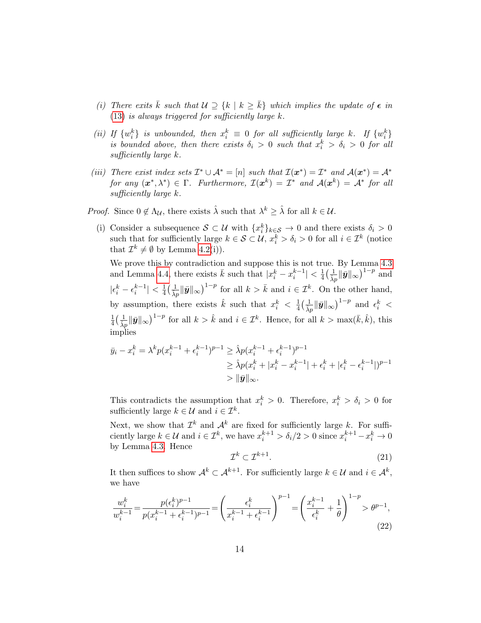- (i) There exits  $\bar{k}$  such that  $\mathcal{U} \supseteq \{k \mid k \geq \bar{k}\}\$  which implies the update of  $\epsilon$  in  $(13)$  is always triggered for sufficiently large  $k$ .
- (ii) If  $\{w_i^k\}$  is unbounded, then  $x_i^k \equiv 0$  for all sufficiently large k. If  $\{w_i^k\}$ is bounded above, then there exists  $\delta_i > 0$  such that  $x_i^k > \delta_i > 0$  for all sufficiently large k.
- (iii) There exist index sets  $\mathcal{I}^* \cup \mathcal{A}^* = [n]$  such that  $\mathcal{I}(\bm{x}^*) = \mathcal{I}^*$  and  $\mathcal{A}(\bm{x}^*) = \mathcal{A}^*$ for any  $(x^*, \lambda^*) \in \Gamma$ . Furthermore,  $\mathcal{I}(x^k) = \mathcal{I}^*$  and  $\mathcal{A}(x^k) = \mathcal{A}^*$  for all sufficiently large k.

*Proof.* Since  $0 \notin \Lambda_{\mathcal{U}}$ , there exists  $\hat{\lambda}$  such that  $\lambda^k \geq \hat{\lambda}$  for all  $k \in \mathcal{U}$ .

(i) Consider a subsequence  $S \subset \mathcal{U}$  with  $\{x_i^k\}_{k \in S} \to 0$  and there exists  $\delta_i > 0$ such that for sufficiently large  $k \in \mathcal{S} \subset \mathcal{U}$ ,  $x_i^k > \delta_i > 0$  for all  $i \in \mathcal{I}^k$  (notice that  $\mathcal{I}^k \neq \emptyset$  by Lemma [4.2\(](#page-9-1)i)).

We prove this by contradiction and suppose this is not true. By Lemma [4.3](#page-11-2) and Lemma [4.4,](#page-12-1) there exists  $\bar{k}$  such that  $|x_i^k - x_i^{k-1}| < \frac{1}{4}$  $\frac{1}{4} \bigl( \frac{1}{\hat{\lambda} p} \| \overset{\circ}{\bm{y}} \|_{\infty} \bigr)^{1-p}$  and  $|\epsilon_i^k - \epsilon_i^{k-1}| < \frac{1}{4}$  $\frac{1}{4} \left( \frac{1}{\hat{\lambda} p} \|\bar{\bm{y}}\|_{\infty} \right)^{1-p}$  for all  $k > \bar{k}$  and  $i \in \mathcal{I}^k$ . On the other hand, by assumption, there exists  $\hat{k}$  such that  $x_i^k < \frac{1}{4}$  $\frac{1}{4} \big(\frac{1}{\hat{\lambda}p} \|\bar{\bm{y}}\|_{\infty}\big)^{1-p}$  and  $\epsilon_i^k$  < 1  $\frac{1}{4} \left( \frac{1}{\hat{\lambda}p} \|\bar{\mathbf{y}}\|_{\infty} \right)^{1-p}$  for all  $k > \hat{k}$  and  $i \in \mathcal{I}^k$ . Hence, for all  $k > \max(\bar{k}, \hat{k})$ , this implies

$$
\bar{y}_i - x_i^k = \lambda^k p (x_i^{k-1} + \epsilon_i^{k-1})^{p-1} \ge \hat{\lambda} p (x_i^{k-1} + \epsilon_i^{k-1})^{p-1}
$$
  
\n
$$
\ge \hat{\lambda} p (x_i^k + |x_i^k - x_i^{k-1}| + \epsilon_i^k + |\epsilon_i^k - \epsilon_i^{k-1}|)^{p-1}
$$
  
\n
$$
> \|\bar{y}\|_{\infty}.
$$

This contradicts the assumption that  $x_i^k > 0$ . Therefore,  $x_i^k > \delta_i > 0$  for sufficiently large  $k \in \mathcal{U}$  and  $i \in \mathcal{I}^k$ .

Next, we show that  $\mathcal{I}^k$  and  $\mathcal{A}^k$  are fixed for sufficiently large k. For sufficiently large  $k \in \mathcal{U}$  and  $i \in \mathcal{I}^k$ , we have  $x_i^{k+1} > \delta_i/2 > 0$  since  $x_i^{k+1} - x_i^k \to 0$ by Lemma [4.3.](#page-11-2) Hence

<span id="page-13-1"></span>
$$
\mathcal{I}^k \subset \mathcal{I}^{k+1}.\tag{21}
$$

It then suffices to show  $\mathcal{A}^k \subset \mathcal{A}^{k+1}$ . For sufficiently large  $k \in \mathcal{U}$  and  $i \in \mathcal{A}^k$ , we have

<span id="page-13-0"></span>
$$
\frac{w_i^k}{w_i^{k-1}} = \frac{p(\epsilon_i^k)^{p-1}}{p(x_i^{k-1} + \epsilon_i^{k-1})^{p-1}} = \left(\frac{\epsilon_i^k}{x_i^{k-1} + \epsilon_i^{k-1}}\right)^{p-1} = \left(\frac{x_i^{k-1}}{\epsilon_i^k} + \frac{1}{\theta}\right)^{1-p} > \theta^{p-1},\tag{22}
$$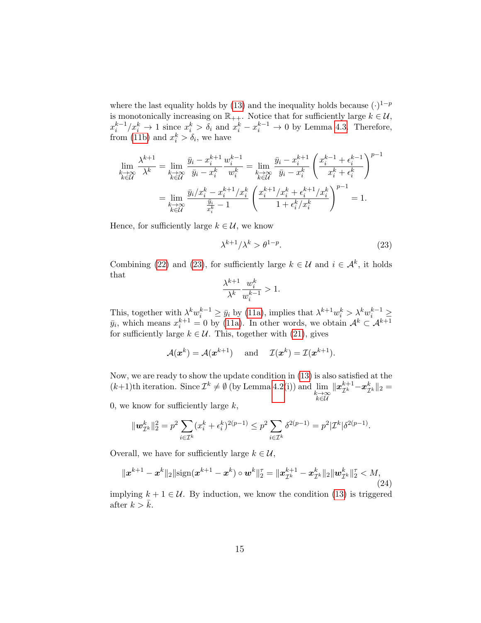where the last equality holds by [\(13\)](#page-8-1) and the inequality holds because  $(·)^{1-p}$ is monotonically increasing on  $\mathbb{R}_{++}$ . Notice that for sufficiently large  $k \in \mathcal{U}$ ,  $x_i^{k-1}/x_i^k \to 1$  since  $x_i^k > \delta_i$  and  $x_i^k - x_i^{k-1} \to 0$  by Lemma [4.3.](#page-11-2) Therefore, from [\(11b\)](#page-7-3) and  $x_i^k > \delta_i$ , we have

$$
\lim_{\substack{k \to \infty \\ k \in \mathcal{U}}} \frac{\lambda^{k+1}}{\lambda^k} = \lim_{\substack{k \to \infty \\ k \in \mathcal{U}}} \frac{\bar{y}_i - x_i^{k+1}}{\bar{y}_i - x_i^k} \frac{w_i^{k-1}}{w_i^k} = \lim_{\substack{k \to \infty \\ k \in \mathcal{U}}} \frac{\bar{y}_i - x_i^{k+1}}{\bar{y}_i - x_i^k} \left( \frac{x_i^{k-1} + \epsilon_i^{k-1}}{x_i^k + \epsilon_i^k} \right)^{p-1}
$$
\n
$$
= \lim_{\substack{k \to \infty \\ k \in \mathcal{U}}} \frac{\bar{y}_i / x_i^k - x_i^{k+1} / x_i^k}{\frac{\bar{y}_i}{x_i^k} - 1} \left( \frac{x_i^{k+1} / x_i^k + \epsilon_i^{k+1} / x_i^k}{1 + \epsilon_i^k / x_i^k} \right)^{p-1} = 1.
$$

Hence, for sufficiently large  $k \in \mathcal{U}$ , we know

<span id="page-14-0"></span>
$$
\lambda^{k+1}/\lambda^k > \theta^{1-p}.\tag{23}
$$

Combining [\(22\)](#page-13-0) and [\(23\)](#page-14-0), for sufficiently large  $k \in \mathcal{U}$  and  $i \in \mathcal{A}^k$ , it holds that

$$
\frac{\lambda^{k+1}}{\lambda^k}\frac{w_i^k}{w_i^{k-1}} > 1.
$$

This, together with  $\lambda^k w_i^{k-1} \geq \bar{y}_i$  by [\(11a\)](#page-7-4), implies that  $\lambda^{k+1} w_i^k > \lambda^k w_i^{k-1} \geq$  $\bar{y}_i$ , which means  $x_i^{k+1} = 0$  by [\(11a\)](#page-7-4). In other words, we obtain  $\mathcal{A}^k \subset \mathcal{A}^{k+1}$ for sufficiently large  $k \in \mathcal{U}$ . This, together with [\(21\)](#page-13-1), gives

$$
\mathcal{A}(\boldsymbol{x}^k) = \mathcal{A}(\boldsymbol{x}^{k+1})
$$
 and  $\mathcal{I}(\boldsymbol{x}^k) = \mathcal{I}(\boldsymbol{x}^{k+1}).$ 

Now, we are ready to show the update condition in [\(13\)](#page-8-1) is also satisfied at the  $(k+1)$ th iteration. Since  $\mathcal{I}^k \neq \emptyset$  (by Lemma [4.2\(](#page-9-1)i)) and  $\lim_{\substack{k \to \infty \\ k \in \mathcal{U}}}$  $\|\boldsymbol{x}_{\mathcal{I}^k}^{k+1}\!-\!\boldsymbol{x}_{\mathcal{I}^k}^{k}\|_2 =$ 

0, we know for sufficiently large  $k$ ,

$$
\|\mathbf{w}_{\mathcal{I}^k}^k\|_2^2 = p^2 \sum_{i \in \mathcal{I}^k} (x_i^k + \epsilon_i^k)^{2(p-1)} \le p^2 \sum_{i \in \mathcal{I}^k} \delta^{2(p-1)} = p^2 |\mathcal{I}^k| \delta^{2(p-1)}.
$$

Overall, we have for sufficiently large  $k \in \mathcal{U}$ ,

$$
\|\boldsymbol{x}^{k+1}-\boldsymbol{x}^{k}\|_{2}\|\text{sign}(\boldsymbol{x}^{k+1}-\boldsymbol{x}^{k})\circ \boldsymbol{w}^{k}\|_{2}^{\tau}=\|\boldsymbol{x}^{k+1}_{\mathcal{I}^{k}}-\boldsymbol{x}^{k}_{\mathcal{I}^{k}}\|_{2}\|\boldsymbol{w}^{k}_{\mathcal{I}^{k}}\|_{2}^{\tau}< M,
$$
\n(24)

implying  $k + 1 \in \mathcal{U}$ . By induction, we know the condition [\(13\)](#page-8-1) is triggered after  $k > \bar{k}$ .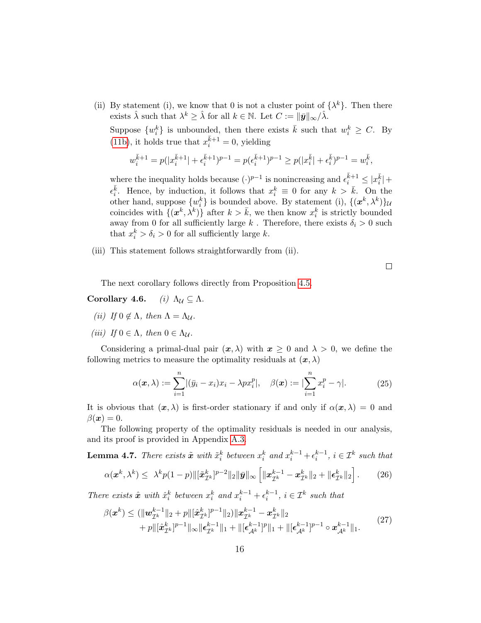(ii) By statement (i), we know that 0 is not a cluster point of  $\{\lambda^k\}$ . Then there exists  $\hat{\lambda}$  such that  $\lambda^k \geq \hat{\lambda}$  for all  $k \in \mathbb{N}$ . Let  $C := ||\bar{y}||_{\infty}/\hat{\lambda}$ .

Suppose  $\{w_i^k\}$  is unbounded, then there exists  $\bar{k}$  such that  $w_i^k \geq C$ . By [\(11b\)](#page-7-3), it holds true that  $x_i^{\bar{k}+1} = 0$ , yielding

$$
w_i^{\bar{k}+1} = p(|x_i^{\bar{k}+1}| + \epsilon_i^{\bar{k}+1})^{p-1} = p(\epsilon_i^{\bar{k}+1})^{p-1} \ge p(|x_i^{\bar{k}}| + \epsilon_i^{\bar{k}})^{p-1} = w_i^{\bar{k}},
$$

where the inequality holds because  $(\cdot)^{p-1}$  is nonincreasing and  $\epsilon_i^{\bar{k}+1} \leq |x_i^{\bar{k}}| +$  $\epsilon_i^{\bar{k}}$ . Hence, by induction, it follows that  $x_i^k \equiv 0$  for any  $k > \bar{k}$ . On the other hand, suppose  $\{w_i^k\}$  is bounded above. By statement (i),  $\{(\mathbf{x}^k, \lambda^k)\}\mathbf{u}$ coincides with  $\{(\mathbf{x}^k, \lambda^k)\}\$  after  $k > \bar{k}$ , we then know  $x_i^k$  is strictly bounded away from 0 for all sufficiently large  $k$ . Therefore, there exists  $\delta_i > 0$  such that  $x_i^k > \delta_i > 0$  for all sufficiently large k.

(iii) This statement follows straightforwardly from (ii).

 $\Box$ 

The next corollary follows directly from Proposition [4.5.](#page-12-2)

Corollary 4.6. (i)  $\Lambda_{\mathcal{U}} \subset \Lambda$ .

- (ii) If  $0 \notin \Lambda$ , then  $\Lambda = \Lambda_{\mathcal{U}}$ .
- (iii) If  $0 \in \Lambda$ , then  $0 \in \Lambda_{\mathcal{U}}$ .

Considering a primal-dual pair  $(x, \lambda)$  with  $x \geq 0$  and  $\lambda > 0$ , we define the following metrics to measure the optimality residuals at  $(x, \lambda)$ 

$$
\alpha(\boldsymbol{x}, \lambda) := \sum_{i=1}^{n} |(\bar{y}_i - x_i)x_i - \lambda px_i^p|, \quad \beta(\boldsymbol{x}) := |\sum_{i=1}^{n} x_i^p - \gamma|.
$$
 (25)

It is obvious that  $(x, \lambda)$  is first-order stationary if and only if  $\alpha(x, \lambda) = 0$  and  $\beta(\boldsymbol{x})=0.$ 

The following property of the optimality residuals is needed in our analysis, and its proof is provided in Appendix [A.3.](#page-25-1)

<span id="page-15-2"></span><span id="page-15-0"></span>**Lemma 4.7.** There exists  $\tilde{x}$  with  $\tilde{x}_i^k$  between  $x_i^k$  and  $x_i^{k-1} + \epsilon_i^{k-1}$ ,  $i \in \mathcal{I}^k$  such that  $\alpha(\bm{x}^k,\lambda^k) \leq \,\,\lambda^k p(1-p) \|[\tilde{\bm{x}}_{\mathcal{I}^k}^k]^{p-2}\|_2 \|\bar{\bm{y}}\|_\infty \left[\|\bm{x}_{\mathcal{I}^k}^{k-1} - \bm{x}_{\mathcal{I}^k}^k\|_2 + \|\bm{\epsilon}_{\mathcal{I}^k}^k\|_2\right]$  $(26)$ 

There exists  $\hat{x}$  with  $\hat{x}_i^k$  between  $x_i^k$  and  $x_i^{k-1} + \epsilon_i^{k-1}$ ,  $i \in \mathcal{I}^k$  such that

<span id="page-15-3"></span><span id="page-15-1"></span>
$$
\beta(\boldsymbol{x}^{k}) \leq (\|\boldsymbol{w}_{\mathcal{I}^{k}}^{k-1}\|_{2} + p\|[\hat{\boldsymbol{x}}_{\mathcal{I}^{k}}^{k}]^{p-1}\|_{2})\|\boldsymbol{x}_{\mathcal{I}^{k}}^{k-1} - \boldsymbol{x}_{\mathcal{I}^{k}}^{k}\|_{2} + p\|[\hat{\boldsymbol{x}}_{\mathcal{I}^{k}}^{k}]^{p-1}\|_{\infty}\|\boldsymbol{\epsilon}_{\mathcal{I}^{k}}^{k-1}\|_{1} + \|[\boldsymbol{\epsilon}_{\mathcal{A}^{k}}^{k-1}]^{p}\|_{1} + \|[\boldsymbol{\epsilon}_{\mathcal{A}^{k}}^{k-1}]^{p-1} \circ \boldsymbol{x}_{\mathcal{A}^{k}}^{k-1}\|_{1}.
$$
\n(27)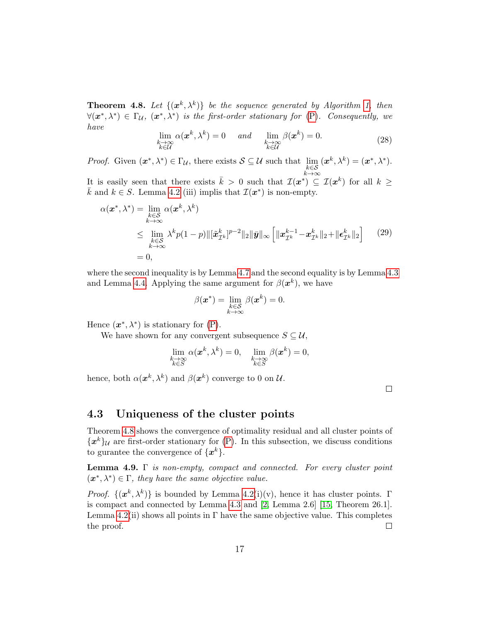**Theorem 4.8.** Let  $\{(\mathbf{x}^k, \lambda^k)\}\)$  be the sequence generated by Algorithm [1,](#page-8-0) then  $\forall (x^*, \lambda^*) \in \Gamma_{\mathcal{U}}, (x^*, \lambda^*)$  is the first-order stationary for  $(P)$ . Consequently, we have

$$
\lim_{\substack{k \to \infty \\ k \in \mathcal{U}}} \alpha(\mathbf{x}^k, \lambda^k) = 0 \quad \text{and} \quad \lim_{\substack{k \to \infty \\ k \in \mathcal{U}}} \beta(\mathbf{x}^k) = 0. \tag{28}
$$

*Proof.* Given  $(\boldsymbol{x}^*, \lambda^*) \in \Gamma_{\mathcal{U}}$ , there exists  $S \subseteq \mathcal{U}$  such that  $\lim_{\substack{k \in S \\ k \to \infty}}$  $(\boldsymbol{x}^k, \lambda^k) = (\boldsymbol{x}^*, \lambda^*).$ 

It is easily seen that there exists  $\bar{k} > 0$  such that  $\mathcal{I}(x^*) \subseteq \mathcal{I}(x^k)$  for all  $k \geq$  $\bar{k}$  and  $k \in S$ . Lemma [4.2](#page-9-1) (iii) implis that  $\mathcal{I}(\boldsymbol{x}^*)$  is non-empty.

$$
\alpha(\boldsymbol{x}^*, \lambda^*) = \lim_{\substack{k \to \infty \\ k \to \infty}} \alpha(\boldsymbol{x}^k, \lambda^k)
$$
  
\n
$$
\leq \lim_{\substack{k \in \mathcal{S} \\ k \to \infty}} \lambda^k p(1-p) \| [\tilde{\boldsymbol{x}}_{\mathcal{I}^k}^k]^{p-2} \|_2 \|\bar{\boldsymbol{y}}\|_{\infty} \left[ \|\boldsymbol{x}_{\mathcal{I}^k}^{k-1} - \boldsymbol{x}_{\mathcal{I}^k}^k \|_2 + \|\boldsymbol{\epsilon}_{\mathcal{I}^k}^k \|_2 \right] \qquad (29)
$$
  
\n
$$
= 0,
$$

where the second inequality is by Lemma [4.7](#page-15-0) and the second equality is by Lemma [4.3](#page-11-2) and Lemma [4.4.](#page-12-1) Applying the same argument for  $\beta(x^k)$ , we have

$$
\beta(\boldsymbol{x}^*) = \lim_{\substack{k \in \mathcal{S} \\ k \to \infty}} \beta(\boldsymbol{x}^k) = 0.
$$

Hence  $(\boldsymbol{x}^*, \lambda^*)$  is stationary for  $(P)$ .

We have shown for any convergent subsequence  $S \subseteq \mathcal{U}$ ,

$$
\lim_{\substack{k \to \infty \\ k \in S}} \alpha(\boldsymbol{x}^k, \lambda^k) = 0, \quad \lim_{\substack{k \to \infty \\ k \in S}} \beta(\boldsymbol{x}^k) = 0,
$$

hence, both  $\alpha(\boldsymbol{x}^k, \lambda^k)$  and  $\beta(\boldsymbol{x}^k)$  converge to 0 on  $\mathcal{U}$ .

 $\Box$ 

#### 4.3 Uniqueness of the cluster points

Theorem [4.8](#page-15-1) shows the convergence of optimality residual and all cluster points of  ${x^k}\mathcal{U}$  are first-order stationary for [\(P\)](#page-4-1). In this subsection, we discuss conditions to gurantee the convergence of  $\{x^k\}.$ 

<span id="page-16-0"></span>**Lemma 4.9.** Γ is non-empty, compact and connected. For every cluster point  $(x^*, \lambda^*) \in \Gamma$ , they have the same objective value.

*Proof.*  $\{(\mathbf{x}^k, \lambda^k)\}\$ is bounded by Lemma [4.2\(](#page-9-1)i)(v), hence it has cluster points.  $\Gamma$ is compact and connected by Lemma [4.3](#page-11-2) and [\[2,](#page-31-1) Lemma 2.6] [\[15,](#page-33-3) Theorem 26.1]. Lemma  $4.2(ii)$  shows all points in Γ have the same objective value. This completes the proof.  $\Box$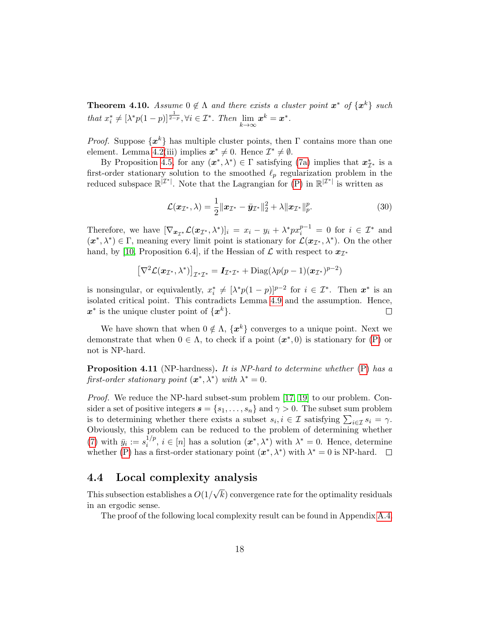**Theorem 4.10.** Assume  $0 \notin \Lambda$  and there exists a cluster point  $x^*$  of  $\{x^k\}$  such that  $x_i^* \neq [\lambda^* p(1-p)]^{\frac{1}{2-p}}, \forall i \in \mathcal{I}^*$ . Then  $\lim_{k \to \infty} \mathbf{x}^k = \mathbf{x}^*$ .

*Proof.* Suppose  $\{x^k\}$  has multiple cluster points, then  $\Gamma$  contains more than one element. Lemma [4.2\(](#page-9-1)iii) implies  $x^* \neq 0$ . Hence  $\mathcal{I}^* \neq \emptyset$ .

By Proposition [4.5,](#page-12-2) for any  $(x^*, \lambda^*) \in \Gamma$  satisfying [\(7a\)](#page-6-3) implies that  $x^*_{\mathcal{I}^*}$  is a first-order stationary solution to the smoothed  $\ell_p$  regularization problem in the reduced subspace  $\mathbb{R}^{|\mathcal{I}^*|}$ . Note that the Lagrangian for  $(P)$  in  $\mathbb{R}^{|\mathcal{I}^*|}$  is written as

$$
\mathcal{L}(\boldsymbol{x}_{\mathcal{I}^*}, \lambda) = \frac{1}{2} ||\boldsymbol{x}_{\mathcal{I}^*} - \bar{\boldsymbol{y}}_{\mathcal{I}^*}||_2^2 + \lambda ||\boldsymbol{x}_{\mathcal{I}^*}||_p^p. \tag{30}
$$

Therefore, we have  $[\nabla_{\bm{x}_{\mathcal{I}^*}}\mathcal{L}(\bm{x}_{\mathcal{I}^*},\lambda^*)]_i = x_i - y_i + \lambda^*px_i^{p-1} = 0$  for  $i \in \mathcal{I}^*$  and  $(x^*, \lambda^*) \in \Gamma$ , meaning every limit point is stationary for  $\mathcal{L}(x_{\mathcal{I}^*}, \lambda^*)$ . On the other hand, by [\[10,](#page-32-10) Proposition 6.4], if the Hessian of  $\mathcal L$  with respect to  $x_{\mathcal I^*}$ 

$$
\left[\nabla^2 \mathcal{L}(\boldsymbol{x}_{\mathcal{I}^*}, \lambda^*)\right]_{\mathcal{I}^* \mathcal{I}^*} = \boldsymbol{I}_{\mathcal{I}^* \mathcal{I}^*} + \text{Diag}(\lambda p(p-1)(\boldsymbol{x}_{\mathcal{I}^*})^{p-2})
$$

is nonsingular, or equivalently,  $x_i^* \neq [\lambda^* p(1-p)]^{p-2}$  for  $i \in \mathcal{I}^*$ . Then  $x^*$  is an isolated critical point. This contradicts Lemma [4.9](#page-16-0) and the assumption. Hence,  $x^*$  is the unique cluster point of  $\{x^k\}.$  $\Box$ 

We have shown that when  $0 \notin \Lambda$ ,  $\{x^k\}$  converges to a unique point. Next we demonstrate that when  $0 \in \Lambda$ , to check if a point  $(x^*,0)$  is stationary for  $(P)$  or not is NP-hard.

**Proposition 4.11** (NP-hardness). It is NP-hard to determine whether [\(P\)](#page-4-1) has a first-order stationary point  $(\boldsymbol{x}^*, \lambda^*)$  with  $\lambda^* = 0$ .

*Proof.* We reduce the NP-hard subset-sum problem [\[17,](#page-33-4) [19\]](#page-33-5) to our problem. Consider a set of positive integers  $s = \{s_1, \ldots, s_n\}$  and  $\gamma > 0$ . The subset sum problem is to determining whether there exists a subset  $s_i, i \in \mathcal{I}$  satisfying  $\sum_{i \in \mathcal{I}} s_i = \gamma$ . Obviously, this problem can be reduced to the problem of determining whether [\(7\)](#page-6-2) with  $\bar{y}_i := s_i^{1/p}$  $i^{1/p}, i \in [n]$  has a solution  $(\boldsymbol{x}^*, \lambda^*)$  with  $\lambda^* = 0$ . Hence, determine whether [\(P\)](#page-4-1) has a first-order stationary point  $(x^*, \lambda^*)$  with  $\lambda^* = 0$  is NP-hard.

#### 4.4 Local complexity analysis

This subsection establishes a  $O(1)$ √ k) convergence rate for the optimality residuals in an ergodic sense.

<span id="page-17-0"></span>The proof of the following local complexity result can be found in Appendix [A.4.](#page-26-0)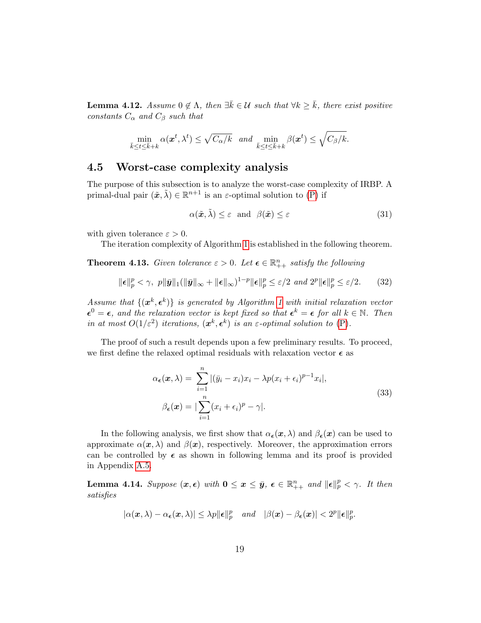**Lemma 4.12.** Assume  $0 \notin \Lambda$ , then  $\exists \bar{k} \in \mathcal{U}$  such that  $\forall k \geq \bar{k}$ , there exist positive constants  $C_{\alpha}$  and  $C_{\beta}$  such that

$$
\min_{\bar{k}\leq t\leq \bar{k}+k}\alpha(\boldsymbol{x}^t,\lambda^t)\leq \sqrt{C_{\alpha}/k} \text{ and } \min_{\bar{k}\leq t\leq \bar{k}+k}\beta(\boldsymbol{x}^t)\leq \sqrt{C_{\beta}/k}.
$$

#### 4.5 Worst-case complexity analysis

The purpose of this subsection is to analyze the worst-case complexity of IRBP. A primal-dual pair  $(\tilde{x}, \tilde{\lambda}) \in \mathbb{R}^{n+1}$  is an  $\varepsilon$ -optimal solution to [\(P\)](#page-4-1) if

<span id="page-18-1"></span>
$$
\alpha(\tilde{x}, \tilde{\lambda}) \le \varepsilon \quad \text{and} \quad \beta(\tilde{x}) \le \varepsilon \tag{31}
$$

with given tolerance  $\varepsilon > 0$ .

The iteration complexity of Algorithm [1](#page-8-0) is established in the following theorem.

<span id="page-18-0"></span>**Theorem 4.13.** Given tolerance  $\varepsilon > 0$ . Let  $\boldsymbol{\epsilon} \in \mathbb{R}_{++}^n$  satisfy the following

<span id="page-18-3"></span>
$$
\|\boldsymbol{\epsilon}\|_{p}^{p} < \gamma, \ \ p\|\bar{\boldsymbol{y}}\|_{1}(\|\bar{\boldsymbol{y}}\|_{\infty} + \|\boldsymbol{\epsilon}\|_{\infty})^{1-p}\|\boldsymbol{\epsilon}\|_{p}^{p} \le \varepsilon/2 \ \ and \ 2^{p}\|\boldsymbol{\epsilon}\|_{p}^{p} \le \varepsilon/2. \tag{32}
$$

Assume that  $\{(\boldsymbol{x}^k, \boldsymbol{\epsilon}^k)\}\$ is generated by Algorithm [1](#page-8-0) with initial relaxation vector  $\epsilon^0 = \epsilon$ , and the relaxation vector is kept fixed so that  $\epsilon^k = \epsilon$  for all  $k \in \mathbb{N}$ . Then in at most  $O(1/\varepsilon^2)$  iterations,  $(x^k, \varepsilon^k)$  is an  $\varepsilon$ -optimal solution to  $(P)$ .

The proof of such a result depends upon a few preliminary results. To proceed, we first define the relaxed optimal residuals with relaxation vector  $\epsilon$  as

$$
\alpha_{\epsilon}(\boldsymbol{x}, \lambda) = \sum_{i=1}^{n} |(\bar{y}_i - x_i)x_i - \lambda p(x_i + \epsilon_i)^{p-1} x_i|,
$$
  
\n
$$
\beta_{\epsilon}(\boldsymbol{x}) = |\sum_{i=1}^{n} (x_i + \epsilon_i)^p - \gamma|.
$$
\n(33)

In the following analysis, we first show that  $\alpha_{\epsilon}(x, \lambda)$  and  $\beta_{\epsilon}(x)$  can be used to approximate  $\alpha(x, \lambda)$  and  $\beta(x)$ , respectively. Moreover, the approximation errors can be controlled by  $\epsilon$  as shown in following lemma and its proof is provided in Appendix [A.5.](#page-27-0)

<span id="page-18-2"></span>**Lemma 4.14.** Suppose  $(x, \epsilon)$  with  $0 \le x \le \bar{y}$ ,  $\epsilon \in \mathbb{R}_{++}^n$  and  $\|\epsilon\|_p^p < \gamma$ . It then satisfies

$$
|\alpha(\boldsymbol{x},\lambda)-\alpha_{\boldsymbol{\epsilon}}(\boldsymbol{x},\lambda)| \leq \lambda p \|\boldsymbol{\epsilon}\|_p^p \quad and \quad |\beta(\boldsymbol{x})-\beta_{\boldsymbol{\epsilon}}(\boldsymbol{x})| < 2^p \|\boldsymbol{\epsilon}\|_p^p.
$$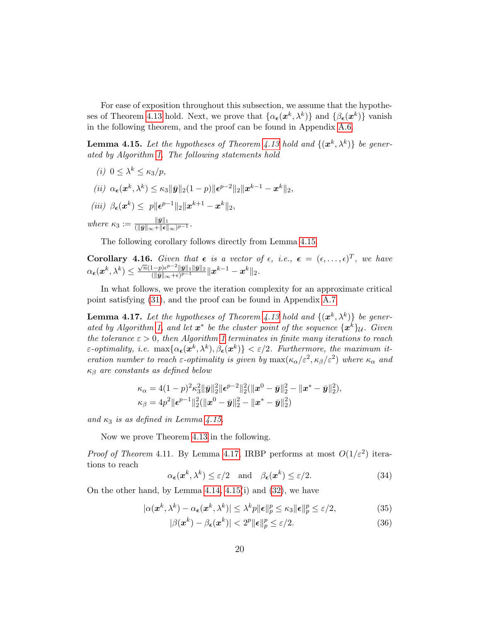For ease of exposition throughout this subsection, we assume that the hypothe-ses of Theorem [4.13](#page-18-0) hold. Next, we prove that  $\{\alpha_{\epsilon}(\mathbf{x}^k, \lambda^k)\}\$  and  $\{\beta_{\epsilon}(\mathbf{x}^k)\}\)$  vanish in the following theorem, and the proof can be found in Appendix [A.6.](#page-28-0)

<span id="page-19-0"></span>**Lemma 4.15.** Let the hypotheses of Theorem [4.13](#page-18-0) hold and  $\{(\mathbf{x}^k, \lambda^k)\}\$  be generated by Algorithm [1.](#page-8-0) The following statements hold

- (*i*)  $0 \leq \lambda^k \leq \kappa_3/p$ ,
- $(ii) \ \alpha_{\epsilon}(\mathbf{x}^k, \lambda^k) \leq \kappa_3 \|\bar{\mathbf{y}}\|_2 (1-p) \|\epsilon^{p-2}\|_2 \|\mathbf{x}^{k-1} \mathbf{x}^k\|_2,$
- (iii)  $\beta_{\epsilon}(x^k) \leq p \|\epsilon^{p-1}\|_2 \|x^{k+1} x^k\|_2,$

where  $\kappa_3 := \frac{\|\bar{\mathbf{y}}\|_1}{\|\bar{\mathbf{y}}\|_{\infty} + \|\bar{\boldsymbol{\epsilon}}\|}$  $\frac{\|\boldsymbol{y}\|_1}{(\|\bar{\boldsymbol{y}}\|_\infty+\|\boldsymbol{\epsilon}\|_\infty)^{p-1}}.$ 

The following corollary follows directly from Lemma [4.15.](#page-19-0)

**Corollary 4.16.** Given that  $\epsilon$  is a vector of  $\epsilon$ , i.e.,  $\epsilon = (\epsilon, \ldots, \epsilon)^T$ , we have  $\alpha_{\boldsymbol \epsilon}(\boldsymbol x^k, \lambda^k) \leq$  $\frac{1}{\sqrt{n}}(1-p)\epsilon^{p-2} \|\bar{\bm{y}}\|_1 \|\bar{\bm{y}}\|_2$  $\frac{1-p)e^{p-z}\|\bar{\bm{y}}\|_1\|\bar{\bm{y}}\|_2}{(\|\bar{\bm{y}}\|_\infty+\epsilon)^{p-1}}\|\bm{x}^{k-1}-\bm{x}^k\|_2.$ 

In what follows, we prove the iteration complexity for an approximate critical point satisfying [\(31\)](#page-18-1), and the proof can be found in Appendix [A.7.](#page-29-0)

<span id="page-19-1"></span>**Lemma 4.17.** Let the hypotheses of Theorem [4.13](#page-18-0) hold and  $\{(\mathbf{x}^k, \lambda^k)\}\$  be gener-ated by Algorithm [1,](#page-8-0) and let  $x^*$  be the cluster point of the sequence  $\{x^k\}_\mathcal{U}$ . Given the tolerance  $\varepsilon > 0$ , then Algorithm [1](#page-8-0) terminates in finite many iterations to reach  $\varepsilon$ -optimality, i.e.  $\max{\{\alpha_{\epsilon}(\boldsymbol{x}^k, \lambda^k), \beta_{\epsilon}(\boldsymbol{x}^k)\}} < \varepsilon/2$ . Furthermore, the maximum iteration number to reach  $\varepsilon$ -optimality is given by  $\max(\kappa_\alpha/\varepsilon^2, \kappa_\beta/\varepsilon^2)$  where  $\kappa_\alpha$  and  $\kappa_\beta$  are constants as defined below

$$
\kappa_{\alpha} = 4(1-p)^2 \kappa_3^2 \|\bar{\mathbf{y}}\|_2^2 \|\epsilon^{p-2}\|_2^2 (\|\mathbf{x}^0 - \bar{\mathbf{y}}\|_2^2 - \|\mathbf{x}^* - \bar{\mathbf{y}}\|_2^2),
$$
  

$$
\kappa_{\beta} = 4p^2 \|\epsilon^{p-1}\|_2^2 (\|\mathbf{x}^0 - \bar{\mathbf{y}}\|_2^2 - \|\mathbf{x}^* - \bar{\mathbf{y}}\|_2^2)
$$

and  $\kappa_3$  is as defined in Lemma [4.15.](#page-19-0)

Now we prove Theorem [4.13](#page-18-0) in the following.

*Proof of Theorem* 4.11. By Lemma [4.17,](#page-19-1) IRBP performs at most  $O(1/\varepsilon^2)$  iterations to reach

<span id="page-19-2"></span>
$$
\alpha_{\epsilon}(\mathbf{x}^k, \lambda^k) \le \varepsilon/2 \quad \text{and} \quad \beta_{\epsilon}(\mathbf{x}^k) \le \varepsilon/2. \tag{34}
$$

On the other hand, by Lemma [4.14,](#page-18-2) [4.15\(](#page-19-0)i) and [\(32\)](#page-18-3), we have

$$
|\alpha(\boldsymbol{x}^k, \lambda^k) - \alpha_{\epsilon}(\boldsymbol{x}^k, \lambda^k)| \leq \lambda^k p \|\boldsymbol{\epsilon}\|_p^p \leq \kappa_3 \|\boldsymbol{\epsilon}\|_p^p \leq \varepsilon/2,
$$
 (35)

<span id="page-19-4"></span><span id="page-19-3"></span>
$$
|\beta(\mathbf{x}^k) - \beta_{\epsilon}(\mathbf{x}^k)| < 2^p \|\epsilon\|_p^p \le \varepsilon/2. \tag{36}
$$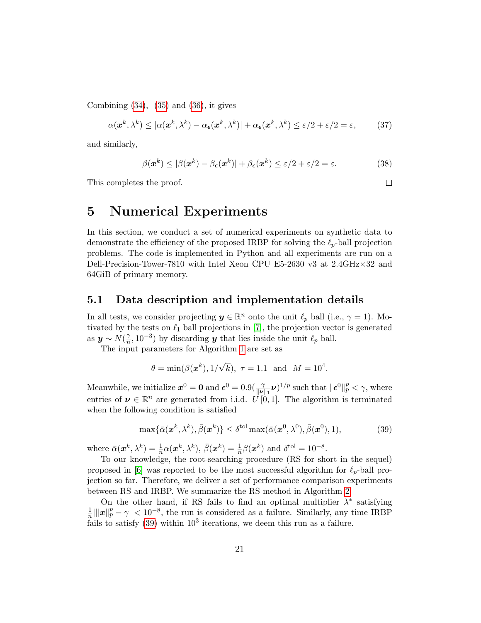Combining  $(34)$ ,  $(35)$  and  $(36)$ , it gives

$$
\alpha(\boldsymbol{x}^k, \lambda^k) \le |\alpha(\boldsymbol{x}^k, \lambda^k) - \alpha_{\epsilon}(\boldsymbol{x}^k, \lambda^k)| + \alpha_{\epsilon}(\boldsymbol{x}^k, \lambda^k) \le \varepsilon/2 + \varepsilon/2 = \varepsilon,\tag{37}
$$

and similarly,

$$
\beta(\boldsymbol{x}^k) \leq |\beta(\boldsymbol{x}^k) - \beta_{\epsilon}(\boldsymbol{x}^k)| + \beta_{\epsilon}(\boldsymbol{x}^k) \leq \varepsilon/2 + \varepsilon/2 = \varepsilon.
$$
 (38)

This completes the proof.

 $\Box$ 

# <span id="page-20-0"></span>5 Numerical Experiments

In this section, we conduct a set of numerical experiments on synthetic data to demonstrate the efficiency of the proposed IRBP for solving the  $\ell_p$ -ball projection problems. The code is implemented in Python and all experiments are run on a Dell-Precision-Tower-7810 with Intel Xeon CPU E5-2630 v3 at 2.4GHz×32 and 64GiB of primary memory.

#### 5.1 Data description and implementation details

In all tests, we consider projecting  $y \in \mathbb{R}^n$  onto the unit  $\ell_p$  ball (i.e.,  $\gamma = 1$ ). Motivated by the tests on  $\ell_1$  ball projections in [\[7\]](#page-32-6), the projection vector is generated as  $y \sim N(\frac{\gamma}{n})$  $\frac{\gamma}{n}$ , 10<sup>-3</sup>) by discarding **y** that lies inside the unit  $\ell_p$  ball.

The input parameters for Algorithm [1](#page-8-0) are set as

$$
\theta = \min(\beta(\mathbf{x}^k), 1/\sqrt{k}), \tau = 1.1 \text{ and } M = 10^4.
$$

Meanwhile, we initialize  $x^0 = 0$  and  $\epsilon^0 = 0.9(\frac{\gamma}{\|\nu\|_1}\nu)^{1/p}$  such that  $\|\epsilon^0\|_p^p < \gamma$ , where entries of  $\nu \in \mathbb{R}^n$  are generated from i.i.d.  $\vec{U} \times \vec{0}$ , 1. The algorithm is terminated when the following condition is satisfied

<span id="page-20-1"></span>
$$
\max\{\bar{\alpha}(\mathbf{x}^k, \lambda^k), \bar{\beta}(\mathbf{x}^k)\} \le \delta^{\text{tol}} \max(\bar{\alpha}(\mathbf{x}^0, \lambda^0), \bar{\beta}(\mathbf{x}^0), 1),\tag{39}
$$

where  $\bar{\alpha}(\mathbf{x}^k, \lambda^k) = \frac{1}{n} \alpha(\mathbf{x}^k, \lambda^k), \ \bar{\beta}(\mathbf{x}^k) = \frac{1}{n} \beta(\mathbf{x}^k)$  and  $\delta^{\text{tol}} = 10^{-8}$ .

To our knowledge, the root-searching procedure (RS for short in the sequel) proposed in [\[6\]](#page-32-5) was reported to be the most successful algorithm for  $\ell_p$ -ball projection so far. Therefore, we deliver a set of performance comparison experiments between RS and IRBP. We summarize the RS method in Algorithm [2.](#page-31-2)

On the other hand, if RS fails to find an optimal multiplier  $\lambda^*$  satisfying 1  $\frac{1}{n} \|\mathbf{x}\|_p^p - \gamma \|\mathbf{x}|_p^p$  the run is considered as a failure. Similarly, any time IRBP fails to satisfy  $(39)$  within  $10<sup>3</sup>$  iterations, we deem this run as a failure.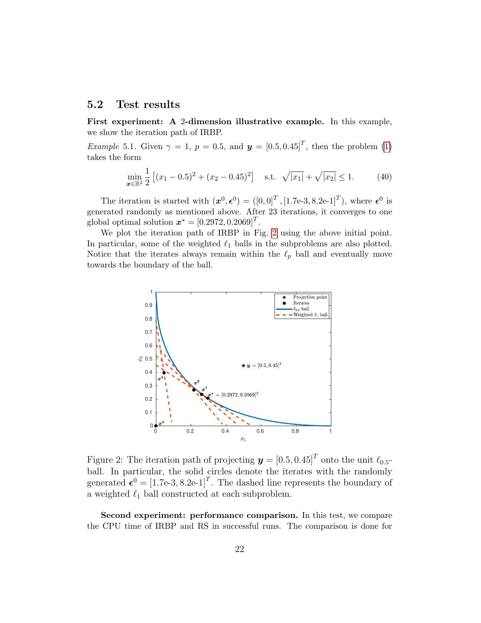#### 5.2 Test results

First experiment: A 2-dimension illustrative example. In this example, we show the iteration path of IRBP.

*Example* 5.1. Given  $\gamma = 1$ ,  $p = 0.5$ , and  $\mathbf{y} = \begin{bmatrix} 0.5, 0.45 \end{bmatrix}^T$ , then the problem [\(1\)](#page-1-0) takes the form

$$
\min_{\mathbf{x} \in \mathbb{R}^2} \frac{1}{2} \left[ (x_1 - 0.5)^2 + (x_2 - 0.45)^2 \right] \quad \text{s.t.} \quad \sqrt{|x_1|} + \sqrt{|x_2|} \le 1. \tag{40}
$$

The iteration is started with  $(\boldsymbol{x}^0, \boldsymbol{\epsilon}^0) = ([0, 0]^T, [1.7e-3, 8.2e-1]^T)$ , where  $\boldsymbol{\epsilon}^0$  is generated randomly as mentioned above. After 23 iterations, it converges to one global optimal solution  $\boldsymbol{x}^* = [0.2972, 0.2069]^T$ .

We plot the iteration path of IRBP in Fig. [2](#page-21-0) using the above initial point. In particular, some of the weighted  $\ell_1$  balls in the subproblems are also plotted. Notice that the iterates always remain within the  $\ell_p$  ball and eventually move towards the boundary of the ball.



<span id="page-21-0"></span>Figure 2: The iteration path of projecting  $\boldsymbol{y} = [0.5, 0.45]^T$  onto the unit  $\ell_{0.5}$ ball. In particular, the solid circles denote the iterates with the randomly generated  $\boldsymbol{\epsilon}^0 = [1.7e-3, 8.2e-1]^T$ . The dashed line represents the boundary of a weighted  $\ell_1$  ball constructed at each subproblem.

Second experiment: performance comparison. In this test, we compare the CPU time of IRBP and RS in successful runs. The comparison is done for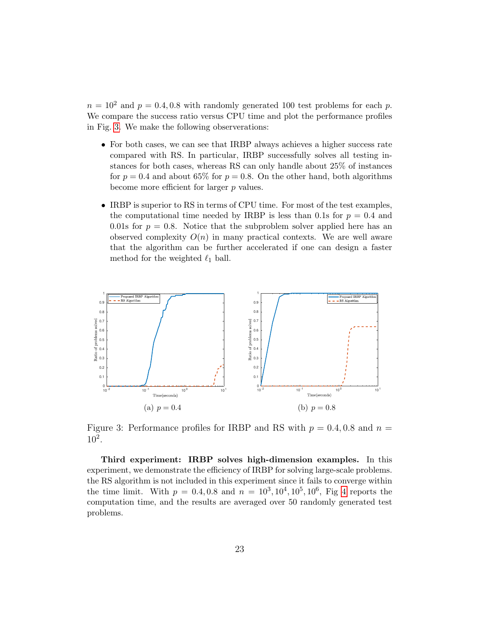$n = 10^2$  and  $p = 0.4, 0.8$  with randomly generated 100 test problems for each p. We compare the success ratio versus CPU time and plot the performance profiles in Fig. [3.](#page-22-0) We make the following observerations:

- For both cases, we can see that IRBP always achieves a higher success rate compared with RS. In particular, IRBP successfully solves all testing instances for both cases, whereas RS can only handle about 25% of instances for  $p = 0.4$  and about 65% for  $p = 0.8$ . On the other hand, both algorithms become more efficient for larger  $p$  values.
- IRBP is superior to RS in terms of CPU time. For most of the test examples, the computational time needed by IRBP is less than 0.1s for  $p = 0.4$  and 0.01s for  $p = 0.8$ . Notice that the subproblem solver applied here has an observed complexity  $O(n)$  in many practical contexts. We are well aware that the algorithm can be further accelerated if one can design a faster method for the weighted  $\ell_1$  ball.



<span id="page-22-0"></span>Figure 3: Performance profiles for IRBP and RS with  $p = 0.4, 0.8$  and  $n =$  $10^{2}$ .

Third experiment: IRBP solves high-dimension examples. In this experiment, we demonstrate the efficiency of IRBP for solving large-scale problems. the RS algorithm is not included in this experiment since it fails to converge within the time limit. With  $p = 0.4, 0.8$  and  $n = 10^3, 10^4, 10^5, 10^6$ , Fig [4](#page-23-1) reports the computation time, and the results are averaged over 50 randomly generated test problems.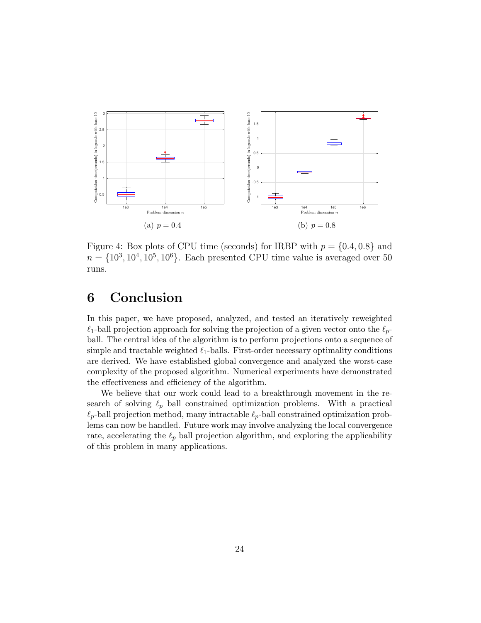

<span id="page-23-1"></span>Figure 4: Box plots of CPU time (seconds) for IRBP with  $p = \{0.4, 0.8\}$  and  $n = \{10^3, 10^4, 10^5, 10^6\}$ . Each presented CPU time value is averaged over 50 runs.

# <span id="page-23-0"></span>6 Conclusion

In this paper, we have proposed, analyzed, and tested an iteratively reweighted  $\ell_1$ -ball projection approach for solving the projection of a given vector onto the  $\ell_p$ ball. The central idea of the algorithm is to perform projections onto a sequence of simple and tractable weighted  $\ell_1$ -balls. First-order necessary optimality conditions are derived. We have established global convergence and analyzed the worst-case complexity of the proposed algorithm. Numerical experiments have demonstrated the effectiveness and efficiency of the algorithm.

We believe that our work could lead to a breakthrough movement in the research of solving  $\ell_p$  ball constrained optimization problems. With a practical  $\ell_p$ -ball projection method, many intractable  $\ell_p$ -ball constrained optimization problems can now be handled. Future work may involve analyzing the local convergence rate, accelerating the  $\ell_p$  ball projection algorithm, and exploring the applicability of this problem in many applications.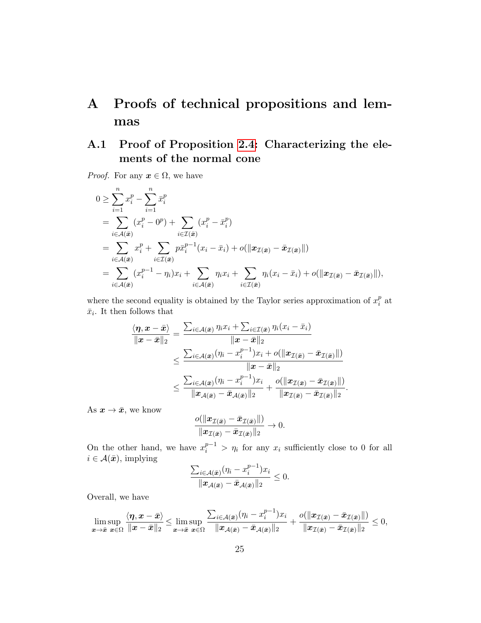# A Proofs of technical propositions and lemmas

# <span id="page-24-0"></span>A.1 Proof of Proposition [2.4:](#page-6-1) Characterizing the elements of the normal cone

*Proof.* For any  $x \in \Omega$ , we have

$$
0 \geq \sum_{i=1}^{n} x_i^p - \sum_{i=1}^{n} \overline{x}_i^p
$$
  
= 
$$
\sum_{i \in \mathcal{A}(\bar{x})} (x_i^p - 0^p) + \sum_{i \in \mathcal{I}(\bar{x})} (x_i^p - \overline{x}_i^p)
$$
  
= 
$$
\sum_{i \in \mathcal{A}(\bar{x})} x_i^p + \sum_{i \in \mathcal{I}(\bar{x})} p \overline{x}_i^{p-1}(x_i - \overline{x}_i) + o(\|\boldsymbol{x}_{\mathcal{I}(\bar{x})} - \overline{\boldsymbol{x}}_{\mathcal{I}(\bar{x})}\|)
$$
  
= 
$$
\sum_{i \in \mathcal{A}(\bar{x})} (x_i^{p-1} - \eta_i)x_i + \sum_{i \in \mathcal{A}(\bar{x})} \eta_i x_i + \sum_{i \in \mathcal{I}(\bar{x})} \eta_i (x_i - \overline{x}_i) + o(\|\boldsymbol{x}_{\mathcal{I}(\bar{x})} - \overline{\boldsymbol{x}}_{\mathcal{I}(\bar{x})}\|),
$$

where the second equality is obtained by the Taylor series approximation of  $x_i^p$  $_i^p$  at  $\bar{x}_i$ . It then follows that

$$
\frac{\langle \boldsymbol \eta, \boldsymbol x-\bar{\boldsymbol x}\rangle}{\|\boldsymbol x-\bar{\boldsymbol x}\|_2}=\frac{\sum_{i\in\mathcal{A}(\bar{\boldsymbol x})}\eta_i x_i+\sum_{i\in\mathcal{I}(\bar{\boldsymbol x})}\eta_i(x_i-\bar{x}_i)}{\|\boldsymbol x-\bar{\boldsymbol x}\|_2}\\ \leq \frac{\sum_{i\in\mathcal{A}(\bar{\boldsymbol x})}(\eta_i-x_i^{p-1})x_i+o(\|\boldsymbol x_{\mathcal{I}(\bar{\boldsymbol x})}-\bar{\boldsymbol x}_{\mathcal{I}(\bar{\boldsymbol x})}\|)}{\|\boldsymbol x-\bar{\boldsymbol x}\|_2}\\ \leq \frac{\sum_{i\in\mathcal{A}(\bar{\boldsymbol x})}(\eta_i-x_i^{p-1})x_i}{\|\boldsymbol x_{\mathcal{A}(\bar{\boldsymbol x})}-\bar{\boldsymbol x}_{\mathcal{A}(\bar{\boldsymbol x})}\|_2}+\frac{o(\|\boldsymbol x_{\mathcal{I}(\bar{\boldsymbol x})}-\bar{\boldsymbol x}_{\mathcal{I}(\bar{\boldsymbol x})}\|)}{\|\boldsymbol x_{\mathcal{I}(\bar{\boldsymbol x})}-\bar{\boldsymbol x}_{\mathcal{I}(\bar{\boldsymbol x})}\|_2}.
$$

As  $x \to \bar{x}$ , we know

$$
\frac{o(\|\boldsymbol{x}_{\mathcal{I}(\bar{\boldsymbol{x}})}-\bar{\boldsymbol{x}}_{\mathcal{I}(\bar{\boldsymbol{x}})}\|)}{\|\boldsymbol{x}_{\mathcal{I}(\bar{\boldsymbol{x}})}-\bar{\boldsymbol{x}}_{\mathcal{I}(\bar{\boldsymbol{x}})}\|_2}\to 0.
$$

On the other hand, we have  $x_i^{p-1} > \eta_i$  for any  $x_i$  sufficiently close to 0 for all  $i \in \mathcal{A}(\bar{x})$ , implying

$$
\frac{\sum_{i\in\mathcal{A}(\bar{\boldsymbol{x}})}(\eta_i - x_i^{p-1})x_i}{\|\boldsymbol{x}_{\mathcal{A}(\bar{\boldsymbol{x}})} - \bar{\boldsymbol{x}}_{\mathcal{A}(\bar{\boldsymbol{x}})}\|_2} \leq 0.
$$

Overall, we have

$$
\limsup_{\mathbf{x}\to\bar{\mathbf{x}}}\frac{\langle\boldsymbol{\eta},\mathbf{x}-\bar{\mathbf{x}}\rangle}{\|\mathbf{x}-\bar{\mathbf{x}}\|_2}\leq \limsup_{\mathbf{x}\to\bar{\mathbf{x}}}\frac{\sum_{i\in\mathcal{A}(\bar{\mathbf{x}})}(\eta_i-x_i^{p-1})x_i}{\|\mathbf{x}_{\mathcal{A}(\bar{\mathbf{x}})}-\bar{\mathbf{x}}_{\mathcal{A}(\bar{\mathbf{x}})}\|_2}+\frac{o(\|\mathbf{x}_{\mathcal{I}(\bar{\mathbf{x}})}-\bar{\mathbf{x}}_{\mathcal{I}(\bar{\mathbf{x}})}\|)}{\|\mathbf{x}_{\mathcal{I}(\bar{\mathbf{x}})}-\bar{\mathbf{x}}_{\mathcal{I}(\bar{\mathbf{x}})}\|_2}\leq 0,
$$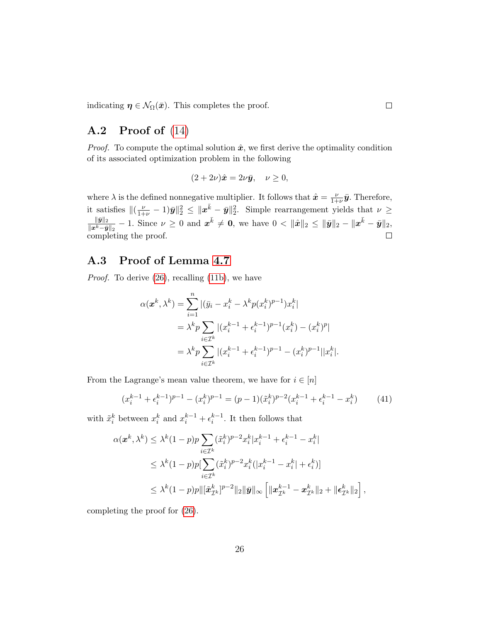indicating  $\eta \in \mathcal{N}_{\Omega}(\bar{x})$ . This completes the proof.

# <span id="page-25-0"></span>A.2 Proof of [\(14\)](#page-10-1)

*Proof.* To compute the optimal solution  $\hat{x}$ , we first derive the optimality condition of its associated optimization problem in the following

$$
(2+2\nu)\hat{\boldsymbol{x}} = 2\nu\bar{\boldsymbol{y}}, \quad \nu \ge 0,
$$

where  $\lambda$  is the defined nonnegative multiplier. It follows that  $\hat{\mathbf{x}} = \frac{\nu}{1+\nu}$  $\frac{\nu}{1+\nu}\bar{y}$ . Therefore, it satisfies  $\|(\frac{\nu}{1+\nu} - 1)\bar{y}\|_2^2 \leq \|x^{\bar{k}} - \bar{y}\|_2^2$ . Simple rearrangement yields that  $\nu \geq$  $\frac{\|\bar{y}\|_2}{\|x^{\bar{k}}-\bar{y}\|_2} - 1.$  Since  $\nu \geq 0$  and  $x^{\bar{k}} \neq \mathbf{0}$ , we have  $0 < \|\hat{x}\|_2 \leq \|\bar{y}\|_2 - \|x^{\bar{k}} - \bar{y}\|_2$ ,  $\|\bar{\bm{y}}\|_2$ completing the proof.  $\Box$ 

# <span id="page-25-1"></span>A.3 Proof of Lemma [4.7](#page-15-0)

Proof. To derive [\(26\)](#page-15-2), recalling [\(11b\)](#page-7-3), we have

$$
\alpha(\boldsymbol{x}^{k}, \lambda^{k}) = \sum_{i=1}^{n} |(\bar{y}_{i} - x_{i}^{k} - \lambda^{k} p(x_{i}^{k})^{p-1}) x_{i}^{k}|
$$
  
=  $\lambda^{k} p \sum_{i \in \mathcal{I}^{k}} |(x_{i}^{k-1} + \epsilon_{i}^{k-1})^{p-1} (x_{i}^{k}) - (x_{i}^{k})^{p}|$   
=  $\lambda^{k} p \sum_{i \in \mathcal{I}^{k}} |(x_{i}^{k-1} + \epsilon_{i}^{k-1})^{p-1} - (x_{i}^{k})^{p-1}||x_{i}^{k}|.$ 

From the Lagrange's mean value theorem, we have for  $i \in [n]$ 

$$
(x_i^{k-1} + \epsilon_i^{k-1})^{p-1} - (x_i^k)^{p-1} = (p-1)(\tilde{x}_i^k)^{p-2}(x_i^{k-1} + \epsilon_i^{k-1} - x_i^k)
$$
(41)

with  $\tilde{x}_i^k$  between  $x_i^k$  and  $x_i^{k-1} + \epsilon_i^{k-1}$ . It then follows that

$$
\alpha(\mathbf{x}^k, \lambda^k) \leq \lambda^k (1-p)p \sum_{i \in \mathcal{I}^k} (\tilde{x}_i^k)^{p-2} x_i^k |x_i^{k-1} + \epsilon_i^{k-1} - x_i^k|
$$
  
\n
$$
\leq \lambda^k (1-p)p[\sum_{i \in \mathcal{I}^k} (\tilde{x}_i^k)^{p-2} x_i^k (|x_i^{k-1} - x_i^k| + \epsilon_i^k)]
$$
  
\n
$$
\leq \lambda^k (1-p)p\|[\tilde{x}_{\mathcal{I}^k}^k]^{p-2} \|_2 \|\bar{\mathbf{y}}\|_{\infty} \left[ \|x_{\mathcal{I}^k}^{k-1} - x_{\mathcal{I}^k}^k\|_2 + \|\epsilon_{\mathcal{I}^k}^k\|_2 \right],
$$

completing the proof for [\(26\)](#page-15-2).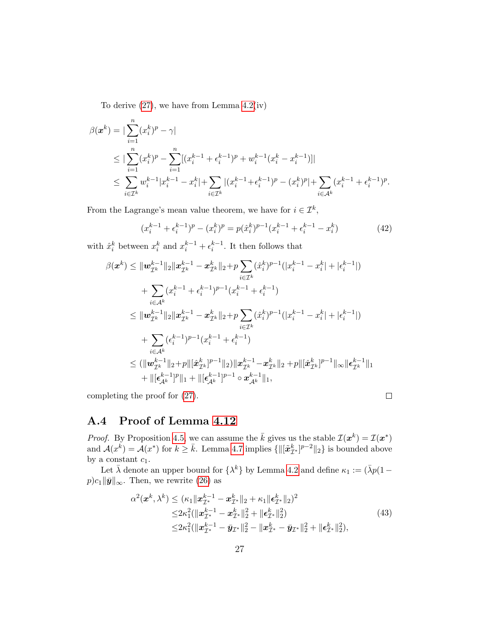To derive  $(27)$ , we have from Lemma  $4.2(iv)$ 

$$
\beta(\boldsymbol{x}^{k}) = |\sum_{i=1}^{n} (x_{i}^{k})^{p} - \gamma|
$$
\n
$$
\leq |\sum_{i=1}^{n} (x_{i}^{k})^{p} - \sum_{i=1}^{n} [(x_{i}^{k-1} + \epsilon_{i}^{k-1})^{p} + w_{i}^{k-1}(x_{i}^{k} - x_{i}^{k-1})]|
$$
\n
$$
\leq \sum_{i \in \mathcal{I}^{k}} w_{i}^{k-1} |x_{i}^{k-1} - x_{i}^{k}| + \sum_{i \in \mathcal{I}^{k}} |(x_{i}^{k-1} + \epsilon_{i}^{k-1})^{p} - (x_{i}^{k})^{p}| + \sum_{i \in \mathcal{A}^{k}} (x_{i}^{k-1} + \epsilon_{i}^{k-1})^{p}.
$$

From the Lagrange's mean value theorem, we have for  $i \in \mathcal{I}^k$ ,

$$
(x_i^{k-1} + \epsilon_i^{k-1})^p - (x_i^k)^p = p(\hat{x}_i^k)^{p-1}(x_i^{k-1} + \epsilon_i^{k-1} - x_i^k)
$$
\n(42)

with  $\hat{x}_i^k$  between  $x_i^k$  and  $x_i^{k-1} + \epsilon_i^{k-1}$ . It then follows that

$$
\beta(\boldsymbol{x}^{k}) \leq \|\boldsymbol{w}_{\mathcal{I}^{k}}^{k-1}\|_{2}\|\boldsymbol{x}_{\mathcal{I}^{k}}^{k-1} - \boldsymbol{x}_{\mathcal{I}^{k}}^{k}\|_{2} + p \sum_{i \in \mathcal{I}^{k}} (\hat{x}_{i}^{k})^{p-1}(|x_{i}^{k-1} - x_{i}^{k}| + |\epsilon_{i}^{k-1}|)
$$
\n
$$
+ \sum_{i \in \mathcal{A}^{k}} (x_{i}^{k-1} + \epsilon_{i}^{k-1})^{p-1} (x_{i}^{k-1} + \epsilon_{i}^{k-1})
$$
\n
$$
\leq \|\boldsymbol{w}_{\mathcal{I}^{k}}^{k-1}\|_{2}\|\boldsymbol{x}_{\mathcal{I}^{k}}^{k-1} - \boldsymbol{x}_{\mathcal{I}^{k}}^{k}\|_{2} + p \sum_{i \in \mathcal{I}^{k}} (\hat{x}_{i}^{k})^{p-1} (|x_{i}^{k-1} - x_{i}^{k}| + |\epsilon_{i}^{k-1}|)
$$
\n
$$
+ \sum_{i \in \mathcal{A}^{k}} (\epsilon_{i}^{k-1})^{p-1} (x_{i}^{k-1} + \epsilon_{i}^{k-1})
$$
\n
$$
\leq (\|\boldsymbol{w}_{\mathcal{I}^{k}}^{k-1}\|_{2} + p\|[\hat{\boldsymbol{x}}_{\mathcal{I}^{k}}^{k}]^{p-1}\|_{2})\|\boldsymbol{x}_{\mathcal{I}^{k}}^{k-1} - \boldsymbol{x}_{\mathcal{I}^{k}}^{k}\|_{2} + p\|[\hat{\boldsymbol{x}}_{\mathcal{I}^{k}}^{k}]^{p-1}\|_{\infty} \|\boldsymbol{\epsilon}_{\mathcal{I}^{k}}^{k-1}\|_{1}
$$
\n
$$
+ \|[\boldsymbol{\epsilon}_{\mathcal{A}^{k}}^{k-1}]^{p}\|_{1} + \|[\boldsymbol{\epsilon}_{\mathcal{A}^{k}}^{k-1}]^{p-1} \circ \boldsymbol{x}_{\mathcal{A}^{k}}^{k-1}\|_{1},
$$

completing the proof for [\(27\)](#page-15-3).

$$
\Box
$$

### <span id="page-26-0"></span>A.4 Proof of Lemma [4.12](#page-17-0)

*Proof.* By Proposition [4.5,](#page-12-2) we can assume the  $\bar{k}$  gives us the stable  $\mathcal{I}(\bm{x}^k) = \mathcal{I}(\bm{x}^*)$ and  $\mathcal{A}(x^k) = \mathcal{A}(x^*)$  for  $k \geq \bar{k}$ . Lemma [4.7](#page-15-0) implies  $\{\|[\tilde{x}^k_{\mathcal{I}^*}]^{p-2}\|_2\}$  is bounded above by a constant  $c_1$ .

Let  $\bar{\lambda}$  denote an upper bound for  $\{\lambda^k\}$  by Lemma [4.2](#page-9-1) and define  $\kappa_1 := (\bar{\lambda}p(1-\bar{\lambda}q))$  $p)c_1\|\bar{\mathbf{y}}\|_{\infty}$ . Then, we rewrite [\(26\)](#page-15-2) as

<span id="page-26-1"></span>
$$
\alpha^{2}(\boldsymbol{x}^{k},\lambda^{k}) \leq (\kappa_{1}||\boldsymbol{x}_{\mathcal{I}^{*}}^{k-1} - \boldsymbol{x}_{\mathcal{I}^{*}}^{k}||_{2} + \kappa_{1}||\boldsymbol{\epsilon}_{\mathcal{I}^{*}}^{k}||_{2})^{2} \leq 2\kappa_{1}^{2}(||\boldsymbol{x}_{\mathcal{I}^{*}}^{k-1} - \boldsymbol{x}_{\mathcal{I}^{*}}^{k}||_{2}^{2} + ||\boldsymbol{\epsilon}_{\mathcal{I}^{*}}^{k}||_{2}^{2}) \leq 2\kappa_{1}^{2}(||\boldsymbol{x}_{\mathcal{I}^{*}}^{k-1} - \bar{\boldsymbol{y}}_{\mathcal{I}^{*}}||_{2}^{2} - ||\boldsymbol{x}_{\mathcal{I}^{*}}^{k} - \bar{\boldsymbol{y}}_{\mathcal{I}^{*}}||_{2}^{2} + ||\boldsymbol{\epsilon}_{\mathcal{I}^{*}}^{k}||_{2}^{2}),
$$
\n(43)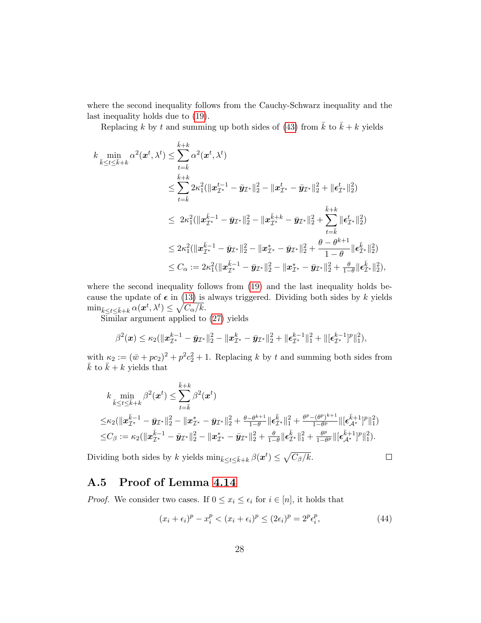where the second inequality follows from the Cauchy-Schwarz inequality and the last inequality holds due to [\(19\)](#page-11-3).

Replacing k by t and summing up both sides of [\(43\)](#page-26-1) from  $\bar{k}$  to  $\bar{k} + k$  yields

$$
\begin{aligned} k &\min_{\bar{k}\leq t\leq \bar{k}+k} \alpha^2(\bm{x}^t,\lambda^t) \leq \sum_{t=\bar{k}}^{\bar{k}+k} \alpha^2(\bm{x}^t,\lambda^t) \\ &\leq \sum_{t=\bar{k}}^{\bar{k}+k} 2\kappa_1^2(\|\bm{x}^{t-1}_{\mathcal{I}^*}-\bar{\bm{y}}_{\mathcal{I}^*}\|_2^2-\|\bm{x}^{t}_{\mathcal{I}^*}-\bar{\bm{y}}_{\mathcal{I}^*}\|_2^2+\|\bm{\epsilon}^{t}_{\mathcal{I}^*}\|_2^2) \\ &\leq 2\kappa_1^2(\|\bm{x}^{\bar{k}-1}_{\mathcal{I}^*}-\bar{\bm{y}}_{\mathcal{I}^*}\|_2^2-\|\bm{x}^{\bar{k}+k}_{\mathcal{I}^*}-\bar{\bm{y}}_{\mathcal{I}^*}\|_2^2+\sum_{t=\bar{k}}^{\bar{k}+k} \|\bm{\epsilon}^{t}_{\mathcal{I}^*}\|_2^2) \\ &\leq 2\kappa_1^2(\|\bm{x}^{\bar{k}-1}_{\mathcal{I}^*}-\bar{\bm{y}}_{\mathcal{I}^*}\|_2^2-\|\bm{x}^{*}_{\mathcal{I}^*}-\bar{\bm{y}}_{\mathcal{I}^*}\|_2^2+\frac{\theta-\theta^{k+1}}{1-\theta}\|\bm{\epsilon}^{\bar{k}}_{\mathcal{I}^*}\|_2^2) \\ &\leq C_{\alpha}:=2\kappa_1^2(\|\bm{x}^{\bar{k}-1}_{\mathcal{I}^*}-\bar{\bm{y}}_{\mathcal{I}^*}\|_2^2-\|\bm{x}^{*}_{\mathcal{I}^*}-\bar{\bm{y}}_{\mathcal{I}^*}\|_2^2+\frac{\theta-\theta^{k+1}}{1-\theta}\|\bm{\epsilon}^{\bar{k}}_{\mathcal{I}^*}\|_2^2), \end{aligned}
$$

where the second inequality follows from [\(19\)](#page-11-3) and the last inequality holds because the update of  $\epsilon$  in [\(13\)](#page-8-1) is always triggered. Dividing both sides by k yields  $\min_{\bar{k} \leq t \leq \bar{k}+k} \alpha(\boldsymbol{x}^t, \lambda^t) \leq \sqrt{C_{\alpha}/k}.$ 

Similar argument applied to [\(27\)](#page-15-3) yields

$$
\beta^2(\mathbf{x}) \leq \kappa_2(\|\mathbf{x}_{\mathcal{I}^*}^{k-1} - \bar{\mathbf{y}}_{\mathcal{I}^*}\|_2^2 - \|\mathbf{x}_{\mathcal{I}^*}^k - \bar{\mathbf{y}}_{\mathcal{I}^*}\|_2^2 + \|\boldsymbol{\epsilon}_{\mathcal{I}^*}^{k-1}\|_1^2 + \|[\boldsymbol{\epsilon}_{\mathcal{I}^*}^{k-1}]^p\|_1^2),
$$

with  $\kappa_2 := (\bar{w} + pc_2)^2 + p^2c_2^2 + 1$ . Replacing k by t and summing both sides from  $\bar{k}$  to  $\bar{k} + k$  yields that

$$
\begin{aligned} & k \min_{\bar{k} \leq t \leq \bar{k} + k} \beta^2(\bm{x}^t) \leq \sum_{t=\bar{k}}^{\bar{k} + k} \beta^2(\bm{x}^t) \\ \leq & \kappa_2(\|\bm{x}_{\mathcal{I}^*}^{\bar{k} - 1} - \bar{\bm{y}}_{\mathcal{I}^*}\|_2^2 - \|\bm{x}_{\mathcal{I}^*}^* - \bar{\bm{y}}_{\mathcal{I}^*}\|_2^2 + \frac{\theta - \theta^{k+1}}{1 - \theta}\|\bm{\epsilon}_{\mathcal{I}^*}^{\bar{k}}\|_1^2 + \frac{\theta^p - (\theta^p)^{k+1}}{1 - \theta^p}\|[\bm{\epsilon}_{\mathcal{A}^*}^{\bar{k} + 1}]^p\|_1^2) \\ \leq & C_\beta := \kappa_2(\|\bm{x}_{\mathcal{I}^*}^{\bar{k} - 1} - \bar{\bm{y}}_{\mathcal{I}^*}\|_2^2 - \|\bm{x}_{\mathcal{I}^*}^* - \bar{\bm{y}}_{\mathcal{I}^*}\|_2^2 + \frac{\theta}{1 - \theta}\|\bm{\epsilon}_{\mathcal{I}^*}^{\bar{k}}\|_1^2 + \frac{\theta^p}{1 - \theta^p}\|[\bm{\epsilon}_{\mathcal{A}^*}^{\bar{k} + 1}]^p\|_1^2). \end{aligned}
$$

Dividing both sides by k yields  $\min_{\bar{k} \leq t \leq \bar{k}+k} \beta(\bm{x}^t) \leq \sqrt{C_{\beta}/k}$ .

#### $\Box$

### <span id="page-27-0"></span>A.5 Proof of Lemma [4.14](#page-18-2)

*Proof.* We consider two cases. If  $0 \le x_i \le \epsilon_i$  for  $i \in [n]$ , it holds that

<span id="page-27-1"></span>
$$
(x_i + \epsilon_i)^p - x_i^p < (x_i + \epsilon_i)^p \le (2\epsilon_i)^p = 2^p \epsilon_i^p,\tag{44}
$$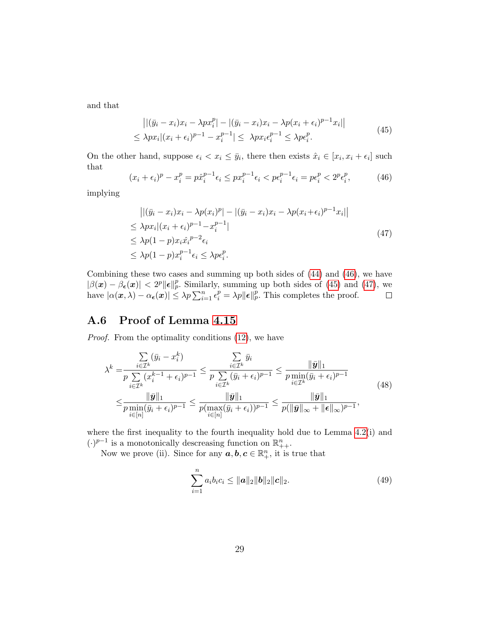<span id="page-28-2"></span>and that

$$
\left| |(\bar{y}_i - x_i)x_i - \lambda px_i^p| - |(\bar{y}_i - x_i)x_i - \lambda p(x_i + \epsilon_i)^{p-1}x_i| \right|
$$
  
\n
$$
\leq \lambda px_i|(x_i + \epsilon_i)^{p-1} - x_i^{p-1}| \leq \lambda px_i \epsilon_i^{p-1} \leq \lambda pe_i^p.
$$
\n(45)

On the other hand, suppose  $\epsilon_i < x_i \leq \bar{y}_i$ , there then exists  $\hat{x}_i \in [x_i, x_i + \epsilon_i]$  such that

<span id="page-28-1"></span>
$$
(x_i + \epsilon_i)^p - x_i^p = p\hat{x}_i^{p-1}\epsilon_i \le px_i^{p-1}\epsilon_i < p\epsilon_i^{p-1}\epsilon_i = p\epsilon_i^p < 2^p\epsilon_i^p,\tag{46}
$$

implying

<span id="page-28-3"></span>
$$
\begin{aligned} \left| \left| (\bar{y}_i - x_i)x_i - \lambda p(x_i)^p \right| - \left| (\bar{y}_i - x_i)x_i - \lambda p(x_i + \epsilon_i)^{p-1} x_i \right| \right| \\ &\leq \lambda px_i | (x_i + \epsilon_i)^{p-1} - x_i^{p-1} | \\ &\leq \lambda p(1-p)x_i \hat{x}_i^{p-2} \epsilon_i \\ &\leq \lambda p(1-p)x_i^{p-1} \epsilon_i \leq \lambda p \epsilon_i^p. \end{aligned} \tag{47}
$$

Combining these two cases and summing up both sides of [\(44\)](#page-27-1) and [\(46\)](#page-28-1), we have  $|\beta(\boldsymbol{x}) - \beta_{\boldsymbol{\epsilon}}(\boldsymbol{x})| < 2^p \|\boldsymbol{\epsilon}\|_p^p$ . Similarly, summing up both sides of [\(45\)](#page-28-2) and [\(47\)](#page-28-3), we have  $|\alpha(\mathbf{x}, \lambda) - \alpha_{\epsilon}(\mathbf{x})| \leq \lambda p \sum_{i=1}^{n} \epsilon_i^p = \lambda p \|\epsilon\|_p^p$ . This completes the proof.

## <span id="page-28-0"></span>A.6 Proof of Lemma [4.15](#page-19-0)

Proof. From the optimality conditions  $(12)$ , we have

<span id="page-28-4"></span>
$$
\lambda^{k} = \frac{\sum_{i \in \mathcal{I}^{k}} (\bar{y}_{i} - x_{i}^{k})}{p \sum_{i \in \mathcal{I}^{k}} (x_{i}^{k-1} + \epsilon_{i})^{p-1}} \leq \frac{\sum_{i \in \mathcal{I}^{k}} \bar{y}_{i}}{p \sum_{i \in \mathcal{I}^{k}} (\bar{y}_{i} + \epsilon_{i})^{p-1}} \leq \frac{\|\bar{\mathbf{y}}\|_{1}}{p \min_{i \in \mathcal{I}^{k}} (\bar{y}_{i} + \epsilon_{i})^{p-1}} \leq \frac{\|\bar{\mathbf{y}}\|_{1}}{p \min_{i \in [n]} (\bar{y}_{i} + \epsilon_{i})^{p-1}} \leq \frac{\|\bar{\mathbf{y}}\|_{1}}{p (\max_{i \in [n]} (\bar{y}_{i} + \epsilon_{i}))^{p-1}} \leq \frac{\|\bar{\mathbf{y}}\|_{1}}{p (\|\bar{\mathbf{y}}\|_{\infty} + \|\epsilon\|_{\infty})^{p-1}},
$$
\n(48)

where the first inequality to the fourth inequality hold due to Lemma [4.2\(](#page-9-1)i) and  $(\cdot)^{p-1}$  is a monotonically descreasing function on  $\mathbb{R}^n_{++}.$ 

Now we prove (ii). Since for any  $a, b, c \in \mathbb{R}_+^n$ , it is true that

<span id="page-28-5"></span>
$$
\sum_{i=1}^{n} a_i b_i c_i \le ||a||_2 ||b||_2 ||c||_2.
$$
 (49)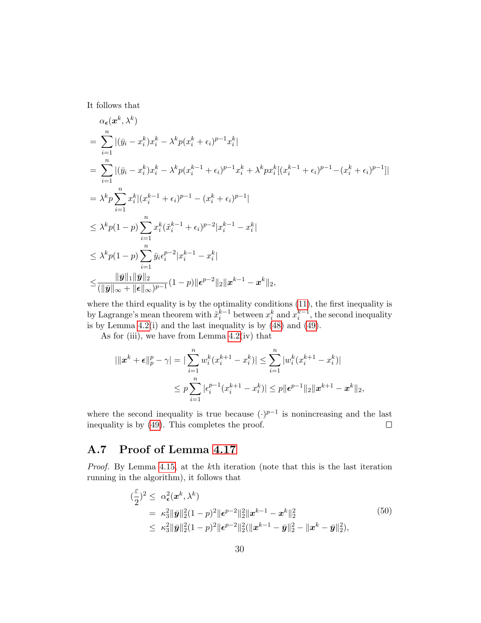It follows that

$$
\alpha_{\epsilon}(x^{k}, \lambda^{k})
$$
\n
$$
= \sum_{i=1}^{n} |(\bar{y}_{i} - x_{i}^{k})x_{i}^{k} - \lambda^{k}p(x_{i}^{k} + \epsilon_{i})^{p-1}x_{i}^{k}|
$$
\n
$$
= \sum_{i=1}^{n} |(\bar{y}_{i} - x_{i}^{k})x_{i}^{k} - \lambda^{k}p(x_{i}^{k-1} + \epsilon_{i})^{p-1}x_{i}^{k} + \lambda^{k}px_{i}^{k}[(x_{i}^{k-1} + \epsilon_{i})^{p-1} - (x_{i}^{k} + \epsilon_{i})^{p-1}]|
$$
\n
$$
= \lambda^{k}p \sum_{i=1}^{n} x_{i}^{k} |(x_{i}^{k-1} + \epsilon_{i})^{p-1} - (x_{i}^{k} + \epsilon_{i})^{p-1}|
$$
\n
$$
\leq \lambda^{k}p(1-p) \sum_{i=1}^{n} x_{i}^{k}(\tilde{x}_{i}^{k-1} + \epsilon_{i})^{p-2}|x_{i}^{k-1} - x_{i}^{k}|
$$
\n
$$
\leq \lambda^{k}p(1-p) \sum_{i=1}^{n} \bar{y}_{i} \epsilon_{i}^{p-2}|x_{i}^{k-1} - x_{i}^{k}|
$$
\n
$$
\leq \frac{\|\bar{y}\|_{1}\|\bar{y}\|_{2}}{\|\bar{y}\|_{\infty} + \|\epsilon\|_{\infty}} p^{-1} (1-p) \|\epsilon^{p-2}\|_{2} \|x^{k-1} - x^{k}\|_{2},
$$

where the third equality is by the optimality conditions  $(11)$ , the first inequality is by Lagrange's mean theorem with  $\tilde{x}_i^{k-1}$  between  $x_i^k$  and  $x_i^{k-1}$ , the second inequality is by Lemma  $4.2(i)$  and the last inequality is by  $(48)$  and  $(49)$ .

As for (iii), we have from Lemma  $4.2(iv)$  that

$$
|\|x^{k} + \epsilon\|_{p}^{p} - \gamma| = \|\sum_{i=1}^{n} w_{i}^{k} (x_{i}^{k+1} - x_{i}^{k})\| \leq \sum_{i=1}^{n} |w_{i}^{k} (x_{i}^{k+1} - x_{i}^{k})|
$$
  

$$
\leq p \sum_{i=1}^{n} |\epsilon_{i}^{p-1} (x_{i}^{k+1} - x_{i}^{k})| \leq p \|\epsilon^{p-1}\|_{2} \|x^{k+1} - x^{k}\|_{2},
$$

where the second inequality is true because  $(·)^{p-1}$  is nonincreasing and the last inequality is by [\(49\)](#page-28-5). This completes the proof.  $\Box$ 

## <span id="page-29-0"></span>A.7 Proof of Lemma [4.17](#page-19-1)

Proof. By Lemma [4.15,](#page-19-0) at the kth iteration (note that this is the last iteration running in the algorithm), it follows that

<span id="page-29-1"></span>
$$
\begin{split}\n(\frac{\varepsilon}{2})^2 &\leq \alpha_{\epsilon}^2(\mathbf{x}^k, \lambda^k) \\
&= \kappa_3^2 \|\bar{\mathbf{y}}\|_2^2 (1-p)^2 \|\epsilon^{p-2}\|_2^2 \|\mathbf{x}^{k-1} - \mathbf{x}^k\|_2^2 \\
&\leq \kappa_3^2 \|\bar{\mathbf{y}}\|_2^2 (1-p)^2 \|\epsilon^{p-2}\|_2^2 (\|\mathbf{x}^{k-1} - \bar{\mathbf{y}}\|_2^2 - \|\mathbf{x}^k - \bar{\mathbf{y}}\|_2^2),\n\end{split} \tag{50}
$$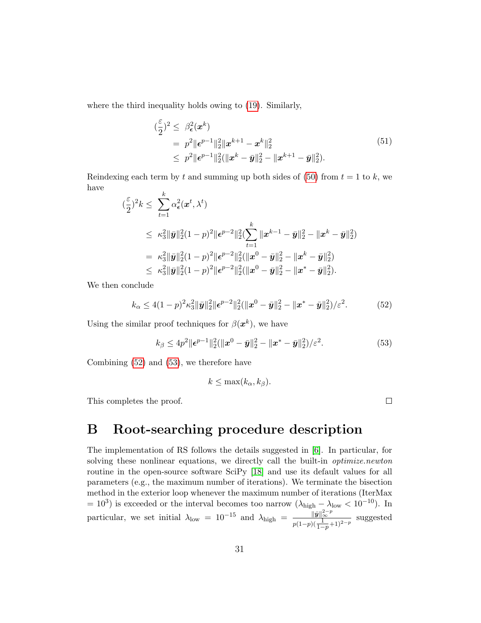where the third inequality holds owing to [\(19\)](#page-11-3). Similarly,

$$
\begin{aligned}\n &\left(\frac{\varepsilon}{2}\right)^2 \leq \beta_{\epsilon}^2(\boldsymbol{x}^k) \\
 &= p^2 \|\boldsymbol{\epsilon}^{p-1}\|_2^2 \|\boldsymbol{x}^{k+1} - \boldsymbol{x}^k\|_2^2 \\
 &\leq p^2 \|\boldsymbol{\epsilon}^{p-1}\|_2^2 (\|\boldsymbol{x}^k - \bar{\boldsymbol{y}}\|_2^2 - \|\boldsymbol{x}^{k+1} - \bar{\boldsymbol{y}}\|_2^2).\n \end{aligned}\n \tag{51}
$$

Reindexing each term by t and summing up both sides of [\(50\)](#page-29-1) from  $t = 1$  to k, we have k

$$
\begin{split}\n&\left(\frac{\varepsilon}{2}\right)^{2}k \leq \sum_{t=1}^{k} \alpha_{\epsilon}^{2}(\boldsymbol{x}^{t}, \lambda^{t}) \\
&\leq \kappa_{3}^{2} \|\bar{\boldsymbol{y}}\|_{2}^{2} (1-p)^{2} \|\epsilon^{p-2}\|_{2}^{2} \left(\sum_{t=1}^{k} \|\boldsymbol{x}^{k-1}-\bar{\boldsymbol{y}}\|_{2}^{2} - \|\boldsymbol{x}^{k}-\bar{\boldsymbol{y}}\|_{2}^{2}\right) \\
&= \kappa_{3}^{2} \|\bar{\boldsymbol{y}}\|_{2}^{2} (1-p)^{2} \|\epsilon^{p-2}\|_{2}^{2} (\|\boldsymbol{x}^{0}-\bar{\boldsymbol{y}}\|_{2}^{2} - \|\boldsymbol{x}^{k}-\bar{\boldsymbol{y}}\|_{2}^{2}) \\
&\leq \kappa_{3}^{2} \|\bar{\boldsymbol{y}}\|_{2}^{2} (1-p)^{2} \|\epsilon^{p-2}\|_{2}^{2} (\|\boldsymbol{x}^{0}-\bar{\boldsymbol{y}}\|_{2}^{2} - \|\boldsymbol{x}^{*}-\bar{\boldsymbol{y}}\|_{2}^{2}).\n\end{split}
$$

We then conclude

<span id="page-30-0"></span>
$$
k_{\alpha} \le 4(1-p)^2 \kappa_3^2 \|\bar{\mathbf{y}}\|_2^2 \|\epsilon^{p-2}\|_2^2 (\|\mathbf{x}^0 - \bar{\mathbf{y}}\|_2^2 - \|\mathbf{x}^* - \bar{\mathbf{y}}\|_2^2)/\varepsilon^2. \tag{52}
$$

Using the similar proof techniques for  $\beta(\boldsymbol{x}^k)$ , we have

<span id="page-30-1"></span>
$$
k_{\beta} \le 4p^2 \|\epsilon^{p-1}\|_2^2 (\|x^0 - \bar{y}\|_2^2 - \|x^* - \bar{y}\|_2^2)/\varepsilon^2.
$$
 (53)

 $\Box$ 

Combining [\(52\)](#page-30-0) and [\(53\)](#page-30-1), we therefore have

$$
k \leq \max(k_{\alpha}, k_{\beta}).
$$

This completes the proof.

# B Root-searching procedure description

The implementation of RS follows the details suggested in [\[6\]](#page-32-5). In particular, for solving these nonlinear equations, we directly call the built-in *optimize.newton* routine in the open-source software SciPy [\[18\]](#page-33-6) and use its default values for all parameters (e.g., the maximum number of iterations). We terminate the bisection method in the exterior loop whenever the maximum number of iterations (IterMax  $= 10<sup>3</sup>$ ) is exceeded or the interval becomes too narrow  $(\lambda_{\text{high}} - \lambda_{\text{low}} < 10^{-10})$ . In particular, we set initial  $\lambda_{\text{low}} = 10^{-15}$  and  $\lambda_{\text{high}} = \frac{\|\tilde{\mathbf{y}}\|_{\infty}^{2-p}}{\lambda_{\text{low}}}$  $\frac{\|y\|_{\infty}}{p(1-p)(\frac{1}{1-p}+1)^{2-p}}$  suggested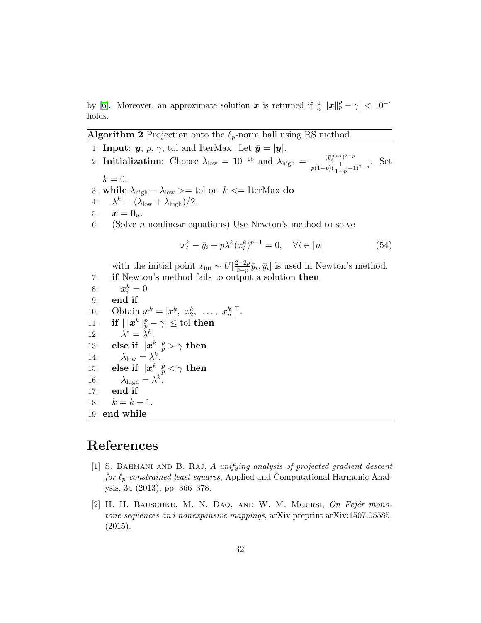by [\[6\]](#page-32-5). Moreover, an approximate solution  $x$  is returned if  $\frac{1}{n} \|\|x\|_p^p - \gamma < 10^{-8}$ holds.

#### <span id="page-31-2"></span>**Algorithm 2** Projection onto the  $\ell_p$ -norm ball using RS method

1: **Input:**  $y, p, \gamma$ , tol and IterMax. Let  $\bar{y} = |y|$ . 2: Initialization: Choose  $\lambda_{\text{low}} = 10^{-15}$  and  $\lambda_{\text{high}} = \frac{(\bar{y}_i^{\text{max}})^{2-p}}{(\bar{y}_i - \bar{y}_j^{\text{max}})^{2-p}}$  $\frac{(y_i^{\dots})^{-p}}{p(1-p)(\frac{1}{1-p}+1)^{2-p}}$ . Set  $k=0.$ 3: while  $\lambda_{\text{high}} - \lambda_{\text{low}} > = \text{tol}$  or  $k \leq \text{IterMax do}$ 4:  $\lambda^k = (\lambda_{\text{low}} + \lambda_{\text{high}})/2.$ 5:  $x = 0_n$ . 6: (Solve *n* nonlinear equations) Use Newton's method to solve  $x_i^k - \bar{y}_i + p\lambda^k (x_i^k)^{p-1} = 0, \quad \forall i \in [n]$  (54) with the initial point  $x_{\text{ini}} \sim U\left[\frac{2-2p}{2-p}\right]$  $\frac{2-2p}{2-p}\bar{y}_i, \bar{y}_i]$  is used in Newton's method. 7: if Newton's method fails to output a solution then 8:  $x_i^k = 0$ 9: end if 10: Obtain  $\mathbf{x}^k = [x_1^k, x_2^k, ..., x_n^k]^\top$ .  $\text{11:} \quad \text{ if } |||x^k\|_p^p - \gamma |\leq \text{tol } \text{then}$ 12:  $\lambda^* = \dot{\lambda}^k$ .  ${\rm 13:}\quad \text{ else if }\|x^k\|_p^p>\gamma\text{ then }% \sum_{k=1}^{p}\|x^k\|_p^p\leq \gamma\text{ }% \sum_{k=1}^{p}\|x^k\|_p^p\text{ } \label{eq:13}$ 14:  $\lambda_{\text{low}} = \lambda^k$ .  $\quad \text{else if } \|x^k\|_p^p < \gamma \text{ then}$ 16:  $\lambda_{\text{high}} = \lambda^k$ . 17: end if 18:  $k = k + 1$ . 19: end while

# References

- <span id="page-31-0"></span>[1] S. BAHMANI AND B. RAJ, A unifying analysis of projected gradient descent for  $\ell_p$ -constrained least squares, Applied and Computational Harmonic Analysis, 34 (2013), pp. 366–378.
- <span id="page-31-1"></span>[2] H. H. BAUSCHKE, M. N. DAO, AND W. M. MOURSI,  $On Fejér$  monotone sequences and nonexpansive mappings, arXiv preprint arXiv:1507.05585, (2015).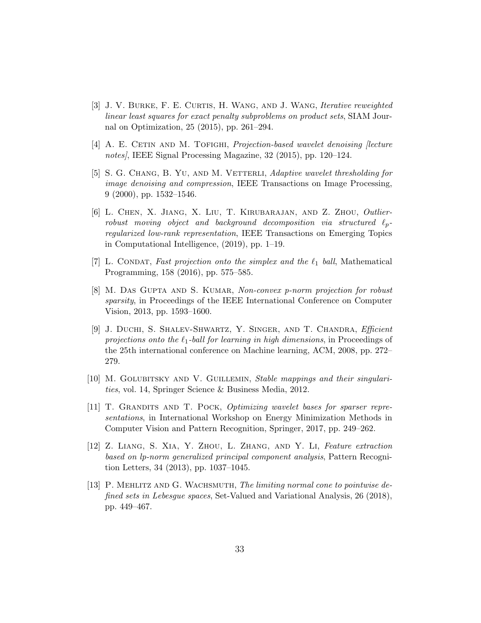- <span id="page-32-9"></span>[3] J. V. BURKE, F. E. CURTIS, H. WANG, AND J. WANG, *Iterative reweighted* linear least squares for exact penalty subproblems on product sets, SIAM Journal on Optimization, 25 (2015), pp. 261–294.
- <span id="page-32-1"></span>[4] A. E. CETIN AND M. TOFIGHI, *Projection-based wavelet denoising [lecture* notes, IEEE Signal Processing Magazine, 32 (2015), pp. 120–124.
- <span id="page-32-3"></span>[5] S. G. CHANG, B. YU, AND M. VETTERLI, Adaptive wavelet thresholding for image denoising and compression, IEEE Transactions on Image Processing, 9 (2000), pp. 1532–1546.
- <span id="page-32-5"></span>[6] L. Chen, X. Jiang, X. Liu, T. Kirubarajan, and Z. Zhou, Outlierrobust moving object and background decomposition via structured  $\ell_p$ regularized low-rank representation, IEEE Transactions on Emerging Topics in Computational Intelligence, (2019), pp. 1–19.
- <span id="page-32-6"></span>[7] L. CONDAT, Fast projection onto the simplex and the  $\ell_1$  ball, Mathematical Programming, 158 (2016), pp. 575–585.
- <span id="page-32-4"></span>[8] M. DAS GUPTA AND S. KUMAR, Non-convex p-norm projection for robust sparsity, in Proceedings of the IEEE International Conference on Computer Vision, 2013, pp. 1593–1600.
- <span id="page-32-7"></span>[9] J. Duchi, S. Shalev-Shwartz, Y. Singer, and T. Chandra, Efficient projections onto the  $\ell_1$ -ball for learning in high dimensions, in Proceedings of the 25th international conference on Machine learning, ACM, 2008, pp. 272– 279.
- <span id="page-32-10"></span>[10] M. Golubitsky and V. Guillemin, Stable mappings and their singularities, vol. 14, Springer Science & Business Media, 2012.
- <span id="page-32-2"></span>[11] T. Grandits and T. Pock, Optimizing wavelet bases for sparser representations, in International Workshop on Energy Minimization Methods in Computer Vision and Pattern Recognition, Springer, 2017, pp. 249–262.
- <span id="page-32-0"></span>[12] Z. Liang, S. Xia, Y. Zhou, L. Zhang, and Y. Li, Feature extraction based on lp-norm generalized principal component analysis, Pattern Recognition Letters, 34 (2013), pp. 1037–1045.
- <span id="page-32-8"></span>[13] P. MEHLITZ AND G. WACHSMUTH, The limiting normal cone to pointwise defined sets in Lebesgue spaces, Set-Valued and Variational Analysis, 26 (2018), pp. 449–467.